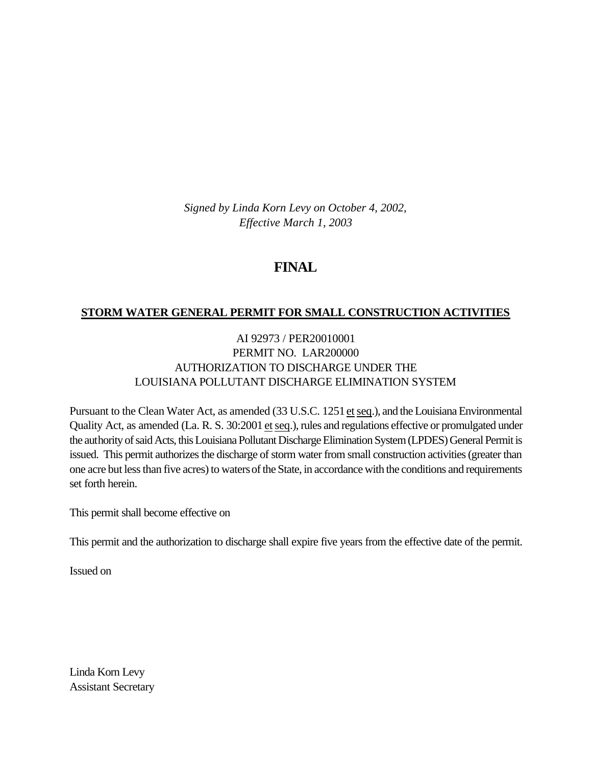*Signed by Linda Korn Levy on October 4, 2002, Effective March 1, 2003*

# **FINAL**

# **STORM WATER GENERAL PERMIT FOR SMALL CONSTRUCTION ACTIVITIES**

# AI 92973 / PER20010001 PERMIT NO. LAR200000 AUTHORIZATION TO DISCHARGE UNDER THE LOUISIANA POLLUTANT DISCHARGE ELIMINATION SYSTEM

Pursuant to the Clean Water Act, as amended (33 U.S.C. 1251 et seq.), and the Louisiana Environmental Quality Act, as amended (La. R. S. 30:2001 et seq.), rules and regulations effective or promulgated under the authority of said Acts, this Louisiana Pollutant Discharge Elimination System (LPDES) General Permit is issued. This permit authorizes the discharge of storm water from small construction activities (greater than one acre but less than five acres) to waters of the State, in accordance with the conditions and requirements set forth herein.

This permit shall become effective on

This permit and the authorization to discharge shall expire five years from the effective date of the permit.

Issued on

Linda Korn Levy Assistant Secretary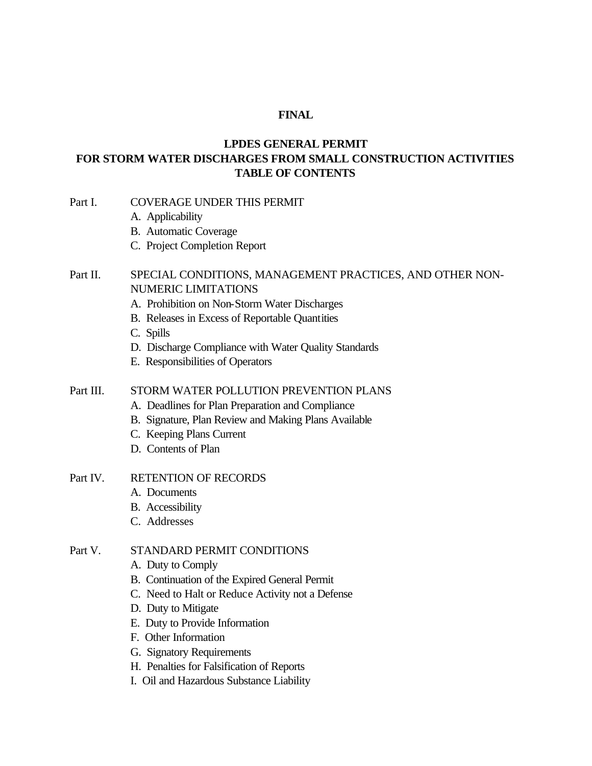#### **FINAL**

# **LPDES GENERAL PERMIT FOR STORM WATER DISCHARGES FROM SMALL CONSTRUCTION ACTIVITIES TABLE OF CONTENTS**

- Part I. COVERAGE UNDER THIS PERMIT
	- A. Applicability
	- B. Automatic Coverage
	- C. Project Completion Report

# Part II. SPECIAL CONDITIONS, MANAGEMENT PRACTICES, AND OTHER NON-NUMERIC LIMITATIONS

- A. Prohibition on Non-Storm Water Discharges
- B. Releases in Excess of Reportable Quantities
- C. Spills
- D. Discharge Compliance with Water Quality Standards
- E. Responsibilities of Operators

#### Part III. STORM WATER POLLUTION PREVENTION PLANS

- A. Deadlines for Plan Preparation and Compliance
- B. Signature, Plan Review and Making Plans Available
- C. Keeping Plans Current
- D. Contents of Plan

#### Part IV. RETENTION OF RECORDS

- A. Documents
- B. Accessibility
- C. Addresses

#### Part V. STANDARD PERMIT CONDITIONS

- A. Duty to Comply
- B. Continuation of the Expired General Permit
- C. Need to Halt or Reduce Activity not a Defense
- D. Duty to Mitigate
- E. Duty to Provide Information
- F. Other Information
- G. Signatory Requirements
- H. Penalties for Falsification of Reports
- I. Oil and Hazardous Substance Liability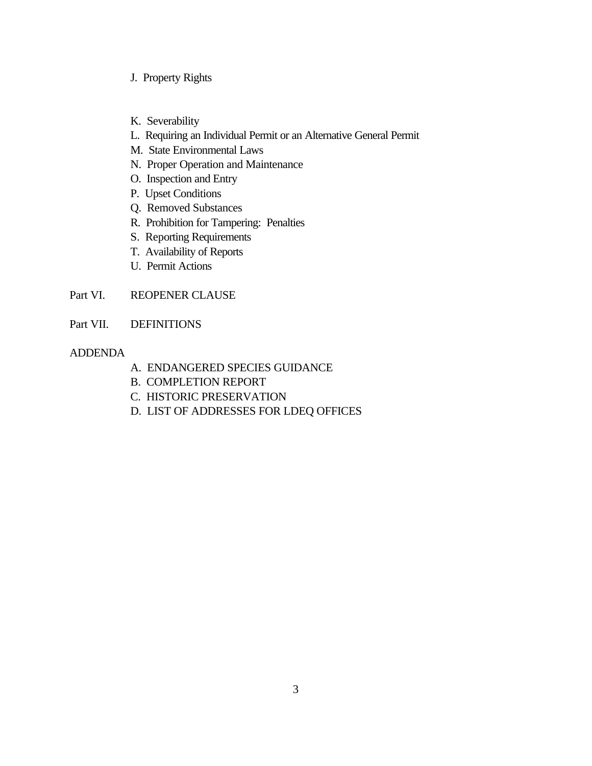- J. Property Rights
- K. Severability
- L. Requiring an Individual Permit or an Alternative General Permit
- M. State Environmental Laws
- N. Proper Operation and Maintenance
- O. Inspection and Entry
- P. Upset Conditions
- Q. Removed Substances
- R. Prohibition for Tampering: Penalties
- S. Reporting Requirements
- T. Availability of Reports
- U. Permit Actions
- Part VI. REOPENER CLAUSE
- Part VII. DEFINITIONS

#### ADDENDA

- A. ENDANGERED SPECIES GUIDANCE
- B. COMPLETION REPORT
- C. HISTORIC PRESERVATION
- D. LIST OF ADDRESSES FOR LDEQ OFFICES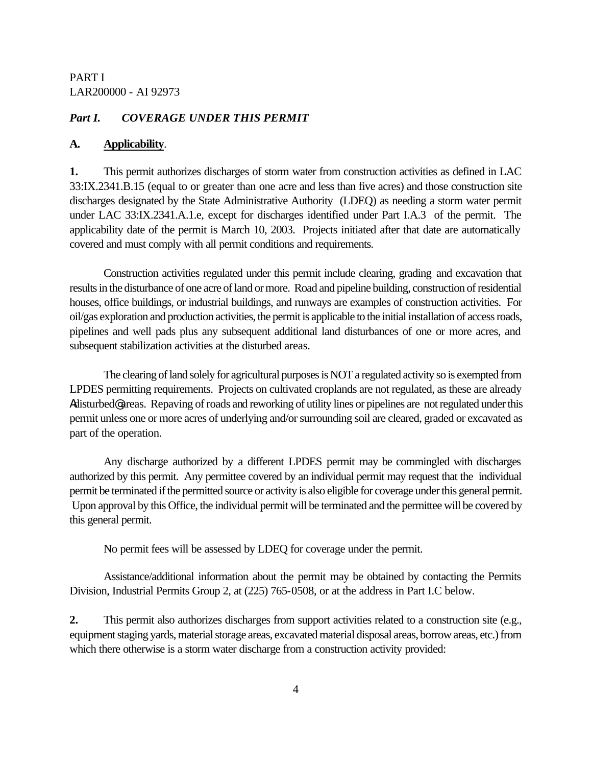#### *Part I. COVERAGE UNDER THIS PERMIT*

#### **A. Applicability**.

**1.** This permit authorizes discharges of storm water from construction activities as defined in LAC 33:IX.2341.B.15 (equal to or greater than one acre and less than five acres) and those construction site discharges designated by the State Administrative Authority (LDEQ) as needing a storm water permit under LAC 33:IX.2341.A.1.e, except for discharges identified under Part I.A.3 of the permit. The applicability date of the permit is March 10, 2003. Projects initiated after that date are automatically covered and must comply with all permit conditions and requirements.

Construction activities regulated under this permit include clearing, grading and excavation that results in the disturbance of one acre of land or more. Road and pipeline building, construction of residential houses, office buildings, or industrial buildings, and runways are examples of construction activities. For oil/gas exploration and production activities, the permit is applicable to the initial installation of access roads, pipelines and well pads plus any subsequent additional land disturbances of one or more acres, and subsequent stabilization activities at the disturbed areas.

The clearing of land solely for agricultural purposes is NOT a regulated activity so is exempted from LPDES permitting requirements. Projects on cultivated croplands are not regulated, as these are already Adisturbed@ areas. Repaving of roads and reworking of utility lines or pipelines are not regulated under this permit unless one or more acres of underlying and/or surrounding soil are cleared, graded or excavated as part of the operation.

Any discharge authorized by a different LPDES permit may be commingled with discharges authorized by this permit. Any permittee covered by an individual permit may request that the individual permit be terminated if the permitted source or activity is also eligible for coverage under this general permit. Upon approval by this Office, the individual permit will be terminated and the permittee will be covered by this general permit.

No permit fees will be assessed by LDEQ for coverage under the permit.

Assistance/additional information about the permit may be obtained by contacting the Permits Division, Industrial Permits Group 2, at (225) 765-0508, or at the address in Part I.C below.

**2.** This permit also authorizes discharges from support activities related to a construction site (e.g., equipment staging yards, material storage areas, excavated material disposal areas, borrow areas, etc.) from which there otherwise is a storm water discharge from a construction activity provided: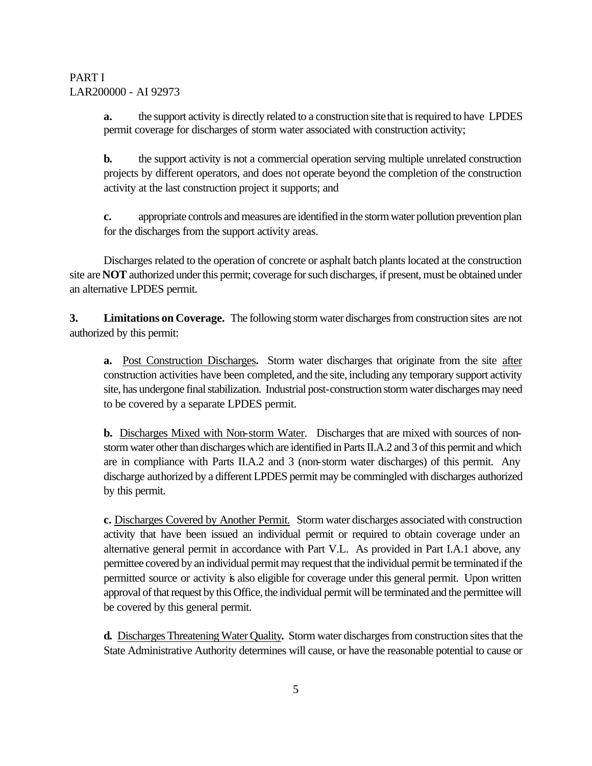**a.** the support activity is directly related to a construction site that is required to have LPDES permit coverage for discharges of storm water associated with construction activity;

**b.** the support activity is not a commercial operation serving multiple unrelated construction projects by different operators, and does not operate beyond the completion of the construction activity at the last construction project it supports; and

**c.** appropriate controls and measures are identified in the storm water pollution prevention plan for the discharges from the support activity areas.

Discharges related to the operation of concrete or asphalt batch plants located at the construction site are **NOT** authorized under this permit; coverage for such discharges, if present, must be obtained under an alternative LPDES permit.

**3. Limitations on Coverage.** The following storm water discharges from construction sites are not authorized by this permit:

**a.** Post Construction Discharges**.** Storm water discharges that originate from the site after construction activities have been completed, and the site, including any temporary support activity site, has undergone final stabilization. Industrial post-construction storm water discharges may need to be covered by a separate LPDES permit.

**b.** Discharges Mixed with Non-storm Water. Discharges that are mixed with sources of nonstorm water other than discharges which are identified in Parts II.A.2 and 3 of this permit and which are in compliance with Parts II.A.2 and 3 (non-storm water discharges) of this permit. Any discharge authorized by a different LPDES permit may be commingled with discharges authorized by this permit.

**c.** Discharges Covered by Another Permit. Storm water discharges associated with construction activity that have been issued an individual permit or required to obtain coverage under an alternative general permit in accordance with Part V.L. As provided in Part I.A.1 above, any permittee covered by an individual permit may request that the individual permit be terminated if the permitted source or activity is also eligible for coverage under this general permit. Upon written approval of that request by this Office, the individual permit will be terminated and the permittee will be covered by this general permit.

**d.** Discharges Threatening Water Quality**.** Storm water discharges from construction sites that the State Administrative Authority determines will cause, or have the reasonable potential to cause or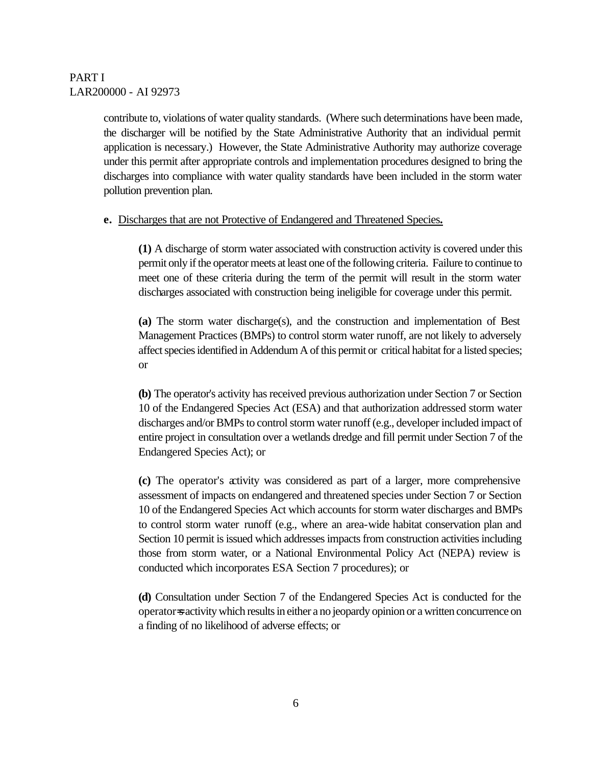contribute to, violations of water quality standards. (Where such determinations have been made, the discharger will be notified by the State Administrative Authority that an individual permit application is necessary.) However, the State Administrative Authority may authorize coverage under this permit after appropriate controls and implementation procedures designed to bring the discharges into compliance with water quality standards have been included in the storm water pollution prevention plan.

#### **e.** Discharges that are not Protective of Endangered and Threatened Species**.**

**(1)** A discharge of storm water associated with construction activity is covered under this permit only if the operator meets at least one of the following criteria. Failure to continue to meet one of these criteria during the term of the permit will result in the storm water discharges associated with construction being ineligible for coverage under this permit.

**(a)** The storm water discharge(s), and the construction and implementation of Best Management Practices (BMPs) to control storm water runoff, are not likely to adversely affect species identified in Addendum A of this permit or critical habitat for a listed species; or

**(b)** The operator's activity has received previous authorization under Section 7 or Section 10 of the Endangered Species Act (ESA) and that authorization addressed storm water discharges and/or BMPs to control storm water runoff (e.g., developer included impact of entire project in consultation over a wetlands dredge and fill permit under Section 7 of the Endangered Species Act); or

**(c)** The operator's activity was considered as part of a larger, more comprehensive assessment of impacts on endangered and threatened species under Section 7 or Section 10 of the Endangered Species Act which accounts for storm water discharges and BMPs to control storm water runoff (e.g., where an area-wide habitat conservation plan and Section 10 permit is issued which addresses impacts from construction activities including those from storm water, or a National Environmental Policy Act (NEPA) review is conducted which incorporates ESA Section 7 procedures); or

**(d)** Consultation under Section 7 of the Endangered Species Act is conducted for the operator=s activity which results in either a no jeopardy opinion or a written concurrence on a finding of no likelihood of adverse effects; or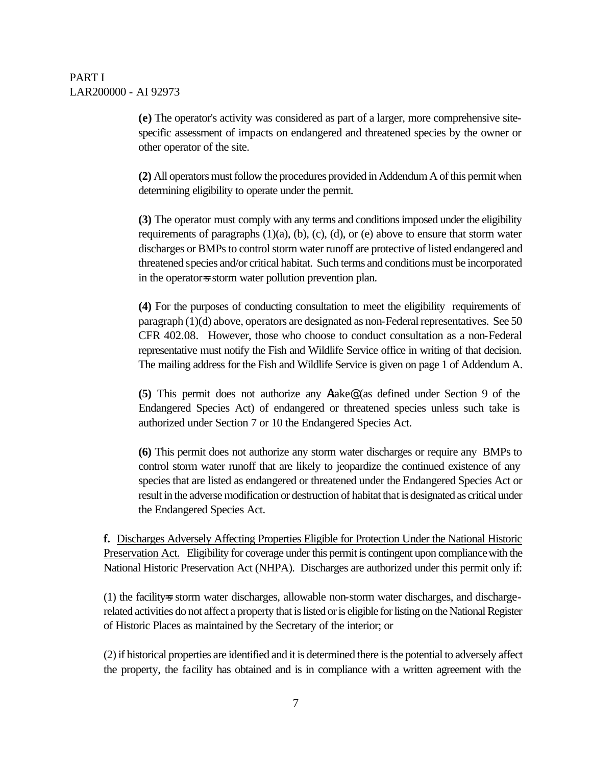**(e)** The operator's activity was considered as part of a larger, more comprehensive sitespecific assessment of impacts on endangered and threatened species by the owner or other operator of the site.

**(2)** All operators must follow the procedures provided in Addendum A of this permit when determining eligibility to operate under the permit.

**(3)** The operator must comply with any terms and conditions imposed under the eligibility requirements of paragraphs  $(1)(a)$ ,  $(b)$ ,  $(c)$ ,  $(d)$ , or  $(e)$  above to ensure that storm water discharges or BMPs to control storm water runoff are protective of listed endangered and threatened species and/or critical habitat. Such terms and conditions must be incorporated in the operator=s storm water pollution prevention plan.

**(4)** For the purposes of conducting consultation to meet the eligibility requirements of paragraph (1)(d) above, operators are designated as non-Federal representatives. See 50 CFR 402.08. However, those who choose to conduct consultation as a non-Federal representative must notify the Fish and Wildlife Service office in writing of that decision. The mailing address for the Fish and Wildlife Service is given on page 1 of Addendum A.

**(5)** This permit does not authorize any Atake@ (as defined under Section 9 of the Endangered Species Act) of endangered or threatened species unless such take is authorized under Section 7 or 10 the Endangered Species Act.

**(6)** This permit does not authorize any storm water discharges or require any BMPs to control storm water runoff that are likely to jeopardize the continued existence of any species that are listed as endangered or threatened under the Endangered Species Act or result in the adverse modification or destruction of habitat that is designated as critical under the Endangered Species Act.

**f.** Discharges Adversely Affecting Properties Eligible for Protection Under the National Historic Preservation Act. Eligibility for coverage under this permit is contingent upon compliance with the National Historic Preservation Act (NHPA). Discharges are authorized under this permit only if:

(1) the facility-s storm water discharges, allowable non-storm water discharges, and dischargerelated activities do not affect a property that is listed or is eligible for listing on the National Register of Historic Places as maintained by the Secretary of the interior; or

(2) if historical properties are identified and it is determined there is the potential to adversely affect the property, the facility has obtained and is in compliance with a written agreement with the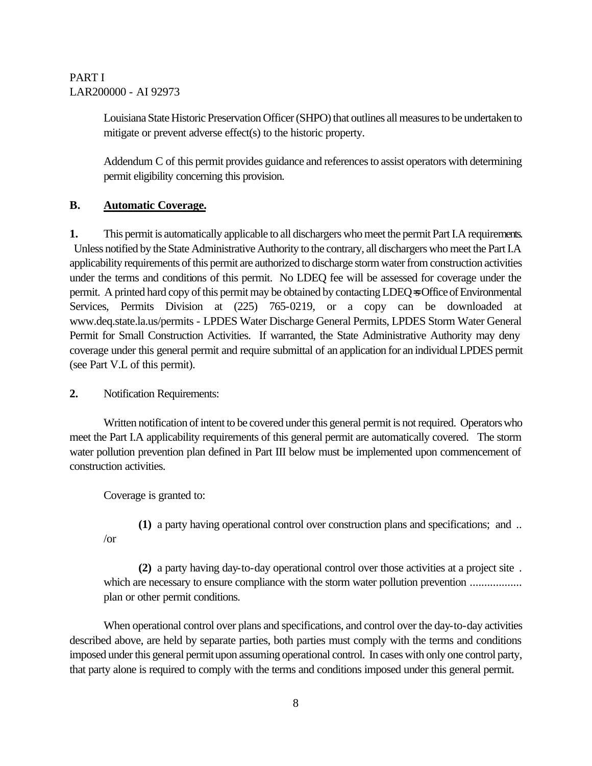Louisiana State Historic Preservation Officer (SHPO) that outlines all measures to be undertaken to mitigate or prevent adverse effect(s) to the historic property.

Addendum C of this permit provides guidance and references to assist operators with determining permit eligibility concerning this provision.

# **B. Automatic Coverage.**

**1.** This permit is automatically applicable to all dischargers who meet the permit Part I.A requirements. Unless notified by the State Administrative Authority to the contrary, all dischargers who meet the Part I.A applicability requirements of this permit are authorized to discharge storm water from construction activities under the terms and conditions of this permit. No LDEQ fee will be assessed for coverage under the permit. A printed hard copy of this permit may be obtained by contacting LDEQ=s Office of Environmental Services, Permits Division at (225) 765-0219, or a copy can be downloaded at www.deq.state.la.us/permits - LPDES Water Discharge General Permits, LPDES Storm Water General Permit for Small Construction Activities. If warranted, the State Administrative Authority may deny coverage under this general permit and require submittal of an application for an individual LPDES permit (see Part V.L of this permit).

**2.** Notification Requirements:

Written notification of intent to be covered under this general permit is not required.Operators who meet the Part I.A applicability requirements of this general permit are automatically covered. The storm water pollution prevention plan defined in Part III below must be implemented upon commencement of construction activities.

Coverage is granted to:

/or

**(1)** a party having operational control over construction plans and specifications; and ..

**(2)** a party having day-to-day operational control over those activities at a project site . which are necessary to ensure compliance with the storm water pollution prevention ........................... plan or other permit conditions.

When operational control over plans and specifications, and control over the day-to-day activities described above, are held by separate parties, both parties must comply with the terms and conditions imposed under this general permit upon assuming operational control. In cases with only one control party, that party alone is required to comply with the terms and conditions imposed under this general permit.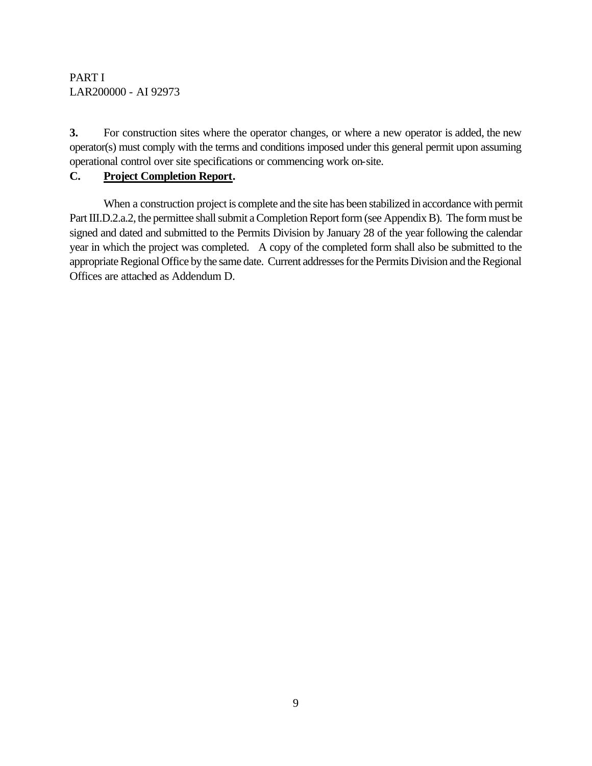**3.** For construction sites where the operator changes, or where a new operator is added, the new operator(s) must comply with the terms and conditions imposed under this general permit upon assuming operational control over site specifications or commencing work on-site.

# **C. Project Completion Report.**

When a construction project is complete and the site has been stabilized in accordance with permit Part III.D.2.a.2, the permittee shall submit a Completion Report form (see Appendix B). The form must be signed and dated and submitted to the Permits Division by January 28 of the year following the calendar year in which the project was completed. A copy of the completed form shall also be submitted to the appropriate Regional Office by the same date. Current addresses for the Permits Division and the Regional Offices are attached as Addendum D.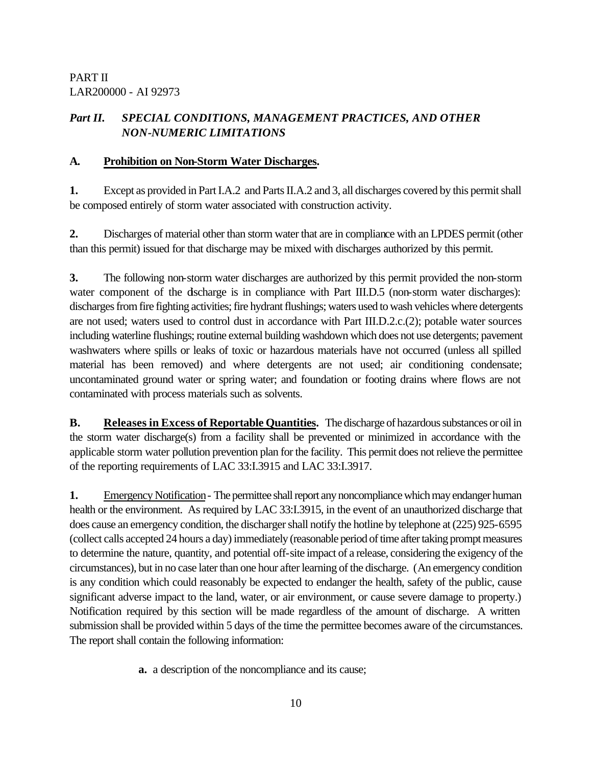# *Part II. SPECIAL CONDITIONS, MANAGEMENT PRACTICES, AND OTHER NON-NUMERIC LIMITATIONS*

#### **A. Prohibition on Non-Storm Water Discharges.**

**1.** Except as provided in Part I.A.2 and Parts II.A.2 and 3, all discharges covered by this permit shall be composed entirely of storm water associated with construction activity.

**2.** Discharges of material other than storm water that are in compliance with an LPDES permit (other than this permit) issued for that discharge may be mixed with discharges authorized by this permit.

**3.** The following non-storm water discharges are authorized by this permit provided the non-storm water component of the discharge is in compliance with Part III.D.5 (non-storm water discharges): discharges from fire fighting activities; fire hydrant flushings; waters used to wash vehicles where detergents are not used; waters used to control dust in accordance with Part III.D.2.c.(2); potable water sources including waterline flushings; routine external building washdown which does not use detergents; pavement washwaters where spills or leaks of toxic or hazardous materials have not occurred (unless all spilled material has been removed) and where detergents are not used; air conditioning condensate; uncontaminated ground water or spring water; and foundation or footing drains where flows are not contaminated with process materials such as solvents.

**B. Releases in Excess of Reportable Quantities.** The discharge of hazardous substances or oil in the storm water discharge(s) from a facility shall be prevented or minimized in accordance with the applicable storm water pollution prevention plan for the facility. This permit does not relieve the permittee of the reporting requirements of LAC 33:I.3915 and LAC 33:I.3917.

**1.** Emergency Notification- The permittee shall report any noncompliance which may endanger human health or the environment. As required by LAC 33:I.3915, in the event of an unauthorized discharge that does cause an emergency condition, the discharger shall notify the hotline by telephone at (225) 925-6595 (collect calls accepted 24 hours a day) immediately (reasonable period of time after taking prompt measures to determine the nature, quantity, and potential off-site impact of a release, considering the exigency of the circumstances), but in no case later than one hour after learning of the discharge. (An emergency condition is any condition which could reasonably be expected to endanger the health, safety of the public, cause significant adverse impact to the land, water, or air environment, or cause severe damage to property.) Notification required by this section will be made regardless of the amount of discharge. A written submission shall be provided within 5 days of the time the permittee becomes aware of the circumstances. The report shall contain the following information:

**a.** a description of the noncompliance and its cause;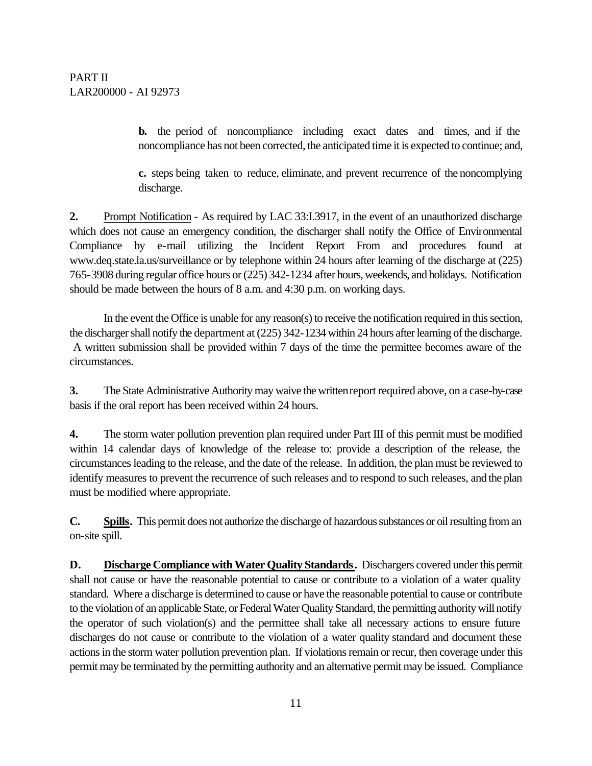**b.** the period of noncompliance including exact dates and times, and if the noncompliance has not been corrected, the anticipated time it is expected to continue; and,

**c.** steps being taken to reduce, eliminate, and prevent recurrence of the noncomplying discharge.

**2.** Prompt Notification - As required by LAC 33:I.3917, in the event of an unauthorized discharge which does not cause an emergency condition, the discharger shall notify the Office of Environmental Compliance by e-mail utilizing the Incident Report From and procedures found at www.deq.state.la.us/surveillance or by telephone within 24 hours after learning of the discharge at (225) 765-3908 during regular office hours or (225) 342-1234 after hours, weekends, and holidays. Notification should be made between the hours of 8 a.m. and 4:30 p.m. on working days.

In the event the Office is unable for any reason(s) to receive the notification required in this section, the discharger shall notify the department at (225) 342-1234 within 24 hours after learning of the discharge. A written submission shall be provided within 7 days of the time the permittee becomes aware of the circumstances.

**3.** The State Administrative Authority may waive the written report required above, on a case-by-case basis if the oral report has been received within 24 hours.

**4.** The storm water pollution prevention plan required under Part III of this permit must be modified within 14 calendar days of knowledge of the release to: provide a description of the release, the circumstances leading to the release, and the date of the release. In addition, the plan must be reviewed to identify measures to prevent the recurrence of such releases and to respond to such releases, and the plan must be modified where appropriate.

**C. Spills.** This permit does not authorize the discharge of hazardous substances or oil resulting from an on-site spill.

**D. Discharge Compliance with Water Quality Standards.** Dischargers covered under this permit shall not cause or have the reasonable potential to cause or contribute to a violation of a water quality standard. Where a discharge is determined to cause or have the reasonable potential to cause or contribute to the violation of an applicable State, or Federal Water Quality Standard, the permitting authority will notify the operator of such violation(s) and the permittee shall take all necessary actions to ensure future discharges do not cause or contribute to the violation of a water quality standard and document these actions in the storm water pollution prevention plan. If violations remain or recur, then coverage under this permit may be terminated by the permitting authority and an alternative permit may be issued. Compliance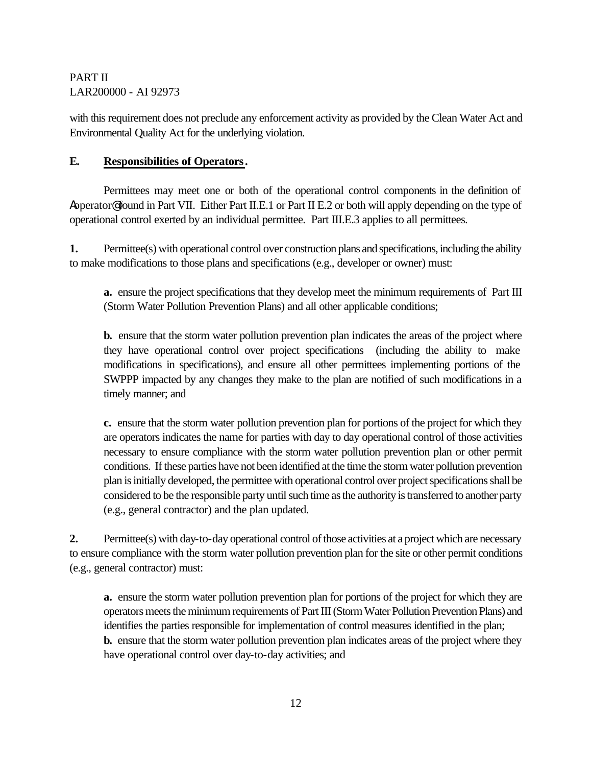with this requirement does not preclude any enforcement activity as provided by the Clean Water Act and Environmental Quality Act for the underlying violation.

#### **E. Responsibilities of Operators.**

Permittees may meet one or both of the operational control components in the definition of Aoperator@ found in Part VII. Either Part II.E.1 or Part II E.2 or both will apply depending on the type of operational control exerted by an individual permittee. Part III.E.3 applies to all permittees.

**1.** Permittee(s) with operational control over construction plans and specifications, including the ability to make modifications to those plans and specifications (e.g., developer or owner) must:

**a.** ensure the project specifications that they develop meet the minimum requirements of Part III (Storm Water Pollution Prevention Plans) and all other applicable conditions;

**b.** ensure that the storm water pollution prevention plan indicates the areas of the project where they have operational control over project specifications (including the ability to make modifications in specifications), and ensure all other permittees implementing portions of the SWPPP impacted by any changes they make to the plan are notified of such modifications in a timely manner; and

**c.** ensure that the storm water pollution prevention plan for portions of the project for which they are operators indicates the name for parties with day to day operational control of those activities necessary to ensure compliance with the storm water pollution prevention plan or other permit conditions. If these parties have not been identified at the time the storm water pollution prevention plan is initially developed, the permittee with operational control over project specifications shall be considered to be the responsible party until such time as the authority is transferred to another party (e.g., general contractor) and the plan updated.

**2.** Permittee(s) with day-to-day operational control of those activities at a project which are necessary to ensure compliance with the storm water pollution prevention plan for the site or other permit conditions (e.g., general contractor) must:

**a.** ensure the storm water pollution prevention plan for portions of the project for which they are operators meets the minimum requirements of Part III (Storm Water Pollution Prevention Plans) and identifies the parties responsible for implementation of control measures identified in the plan; **b.** ensure that the storm water pollution prevention plan indicates areas of the project where they have operational control over day-to-day activities; and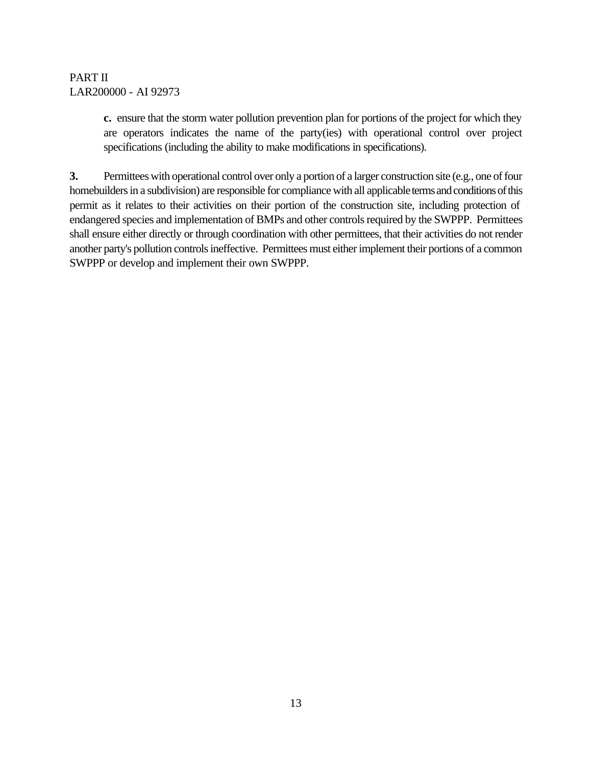**c.** ensure that the storm water pollution prevention plan for portions of the project for which they are operators indicates the name of the party(ies) with operational control over project specifications (including the ability to make modifications in specifications).

**3.** Permittees with operational control over only a portion of a larger construction site (e.g., one of four homebuilders in a subdivision) are responsible for compliance with all applicable terms and conditions of this permit as it relates to their activities on their portion of the construction site, including protection of endangered species and implementation of BMPs and other controls required by the SWPPP. Permittees shall ensure either directly or through coordination with other permittees, that their activities do not render another party's pollution controls ineffective. Permittees must either implement their portions of a common SWPPP or develop and implement their own SWPPP.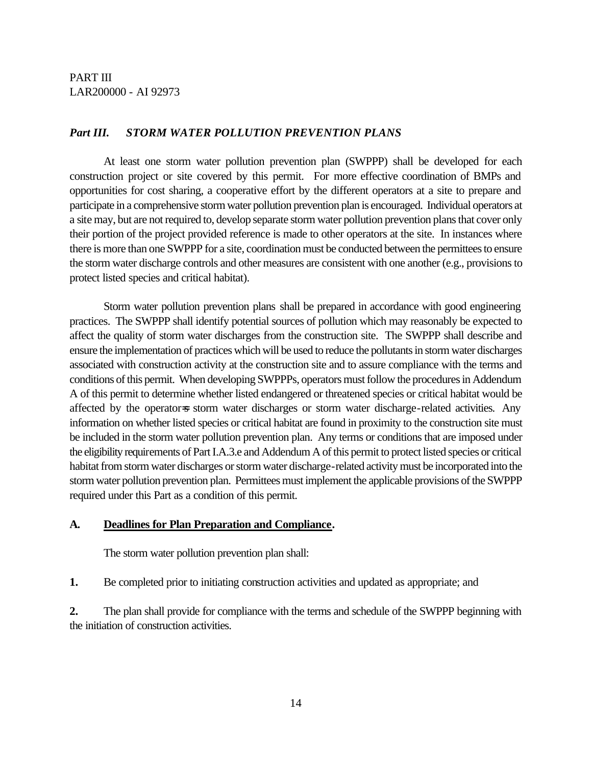#### *Part III. STORM WATER POLLUTION PREVENTION PLANS*

At least one storm water pollution prevention plan (SWPPP) shall be developed for each construction project or site covered by this permit. For more effective coordination of BMPs and opportunities for cost sharing, a cooperative effort by the different operators at a site to prepare and participate in a comprehensive storm water pollution prevention plan is encouraged. Individual operators at a site may, but are not required to, develop separate storm water pollution prevention plans that cover only their portion of the project provided reference is made to other operators at the site. In instances where there is more than one SWPPP for a site, coordination must be conducted between the permittees to ensure the storm water discharge controls and other measures are consistent with one another (e.g., provisions to protect listed species and critical habitat).

Storm water pollution prevention plans shall be prepared in accordance with good engineering practices. The SWPPP shall identify potential sources of pollution which may reasonably be expected to affect the quality of storm water discharges from the construction site. The SWPPP shall describe and ensure the implementation of practices which will be used to reduce the pollutants in storm water discharges associated with construction activity at the construction site and to assure compliance with the terms and conditions of this permit. When developing SWPPPs, operators must follow the procedures in Addendum A of this permit to determine whether listed endangered or threatened species or critical habitat would be affected by the operator=s storm water discharges or storm water discharge-related activities. Any information on whether listed species or critical habitat are found in proximity to the construction site must be included in the storm water pollution prevention plan. Any terms or conditions that are imposed under the eligibility requirements of Part I.A.3.e and Addendum A of this permit to protect listed species or critical habitat from storm water discharges or storm water discharge-related activity must be incorporated into the storm water pollution prevention plan. Permittees must implement the applicable provisions of the SWPPP required under this Part as a condition of this permit.

#### **A. Deadlines for Plan Preparation and Compliance.**

The storm water pollution prevention plan shall:

**1.** Be completed prior to initiating construction activities and updated as appropriate; and

**2.** The plan shall provide for compliance with the terms and schedule of the SWPPP beginning with the initiation of construction activities.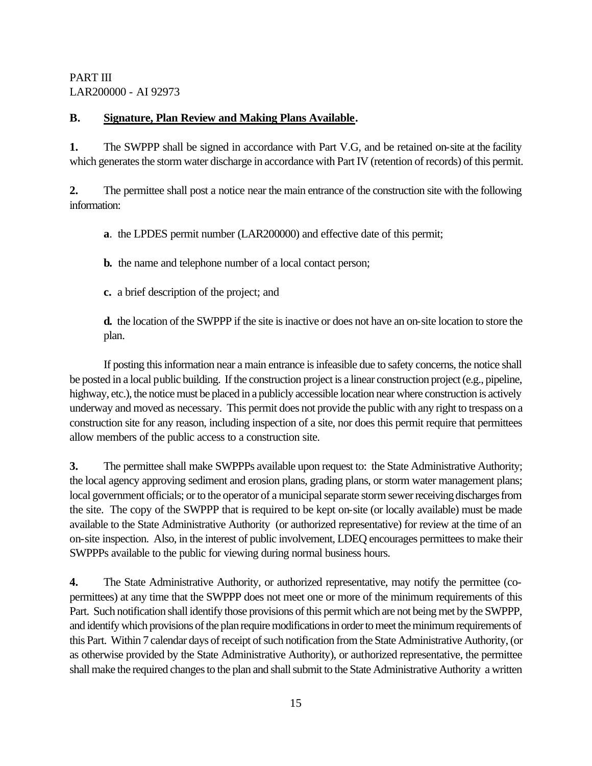### **B. Signature, Plan Review and Making Plans Available.**

**1.** The SWPPP shall be signed in accordance with Part V.G, and be retained on-site at the facility which generates the storm water discharge in accordance with Part IV (retention of records) of this permit.

**2.** The permittee shall post a notice near the main entrance of the construction site with the following information:

**a**. the LPDES permit number (LAR200000) and effective date of this permit;

**b.** the name and telephone number of a local contact person;

**c.** a brief description of the project; and

**d.** the location of the SWPPP if the site is inactive or does not have an on-site location to store the plan.

If posting this information near a main entrance is infeasible due to safety concerns, the notice shall be posted in a local public building. If the construction project is a linear construction project (e.g., pipeline, highway, etc.), the notice must be placed in a publicly accessible location near where construction is actively underway and moved as necessary. This permit does not provide the public with any right to trespass on a construction site for any reason, including inspection of a site, nor does this permit require that permittees allow members of the public access to a construction site.

**3.** The permittee shall make SWPPPs available upon request to: the State Administrative Authority; the local agency approving sediment and erosion plans, grading plans, or storm water management plans; local government officials; or to the operator of a municipal separate storm sewer receiving discharges from the site. The copy of the SWPPP that is required to be kept on-site (or locally available) must be made available to the State Administrative Authority (or authorized representative) for review at the time of an on-site inspection. Also, in the interest of public involvement, LDEQ encourages permittees to make their SWPPPs available to the public for viewing during normal business hours.

**4.** The State Administrative Authority, or authorized representative, may notify the permittee (copermittees) at any time that the SWPPP does not meet one or more of the minimum requirements of this Part. Such notification shall identify those provisions of this permit which are not being met by the SWPPP, and identify which provisions of the plan require modifications in order to meet the minimum requirements of this Part. Within 7 calendar days of receipt of such notification from the State Administrative Authority, (or as otherwise provided by the State Administrative Authority), or authorized representative, the permittee shall make the required changes to the plan and shall submit to the State Administrative Authority a written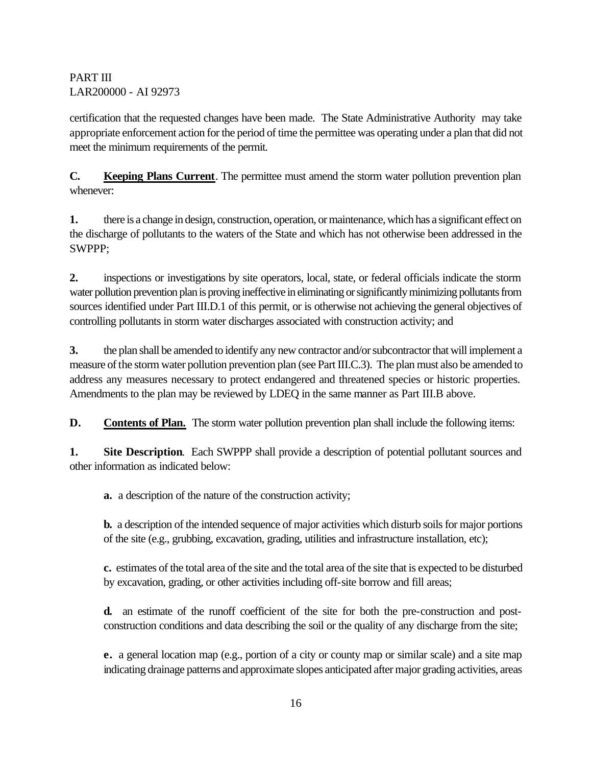certification that the requested changes have been made. The State Administrative Authority may take appropriate enforcement action for the period of time the permittee was operating under a plan that did not meet the minimum requirements of the permit.

**C. Keeping Plans Current**. The permittee must amend the storm water pollution prevention plan whenever:

**1.** there is a change in design, construction, operation, or maintenance, which has a significant effect on the discharge of pollutants to the waters of the State and which has not otherwise been addressed in the SWPPP;

**2.** inspections or investigations by site operators, local, state, or federal officials indicate the storm water pollution prevention plan is proving ineffective in eliminating or significantly minimizing pollutants from sources identified under Part III.D.1 of this permit, or is otherwise not achieving the general objectives of controlling pollutants in storm water discharges associated with construction activity; and

**3.** the plan shall be amended to identify any new contractor and/or subcontractor that will implement a measure of the storm water pollution prevention plan (see Part III.C.3). The plan must also be amended to address any measures necessary to protect endangered and threatened species or historic properties. Amendments to the plan may be reviewed by LDEQ in the same manner as Part III.B above.

**D.** Contents of Plan. The storm water pollution prevention plan shall include the following items:

**1. Site Description**. Each SWPPP shall provide a description of potential pollutant sources and other information as indicated below:

**a.** a description of the nature of the construction activity;

**b.** a description of the intended sequence of major activities which disturb soils for major portions of the site (e.g., grubbing, excavation, grading, utilities and infrastructure installation, etc);

 **c.** estimates of the total area of the site and the total area of the site that is expected to be disturbed by excavation, grading, or other activities including off-site borrow and fill areas;

**d.** an estimate of the runoff coefficient of the site for both the pre-construction and postconstruction conditions and data describing the soil or the quality of any discharge from the site;

**e.** a general location map (e.g., portion of a city or county map or similar scale) and a site map indicating drainage patterns and approximate slopes anticipated after major grading activities, areas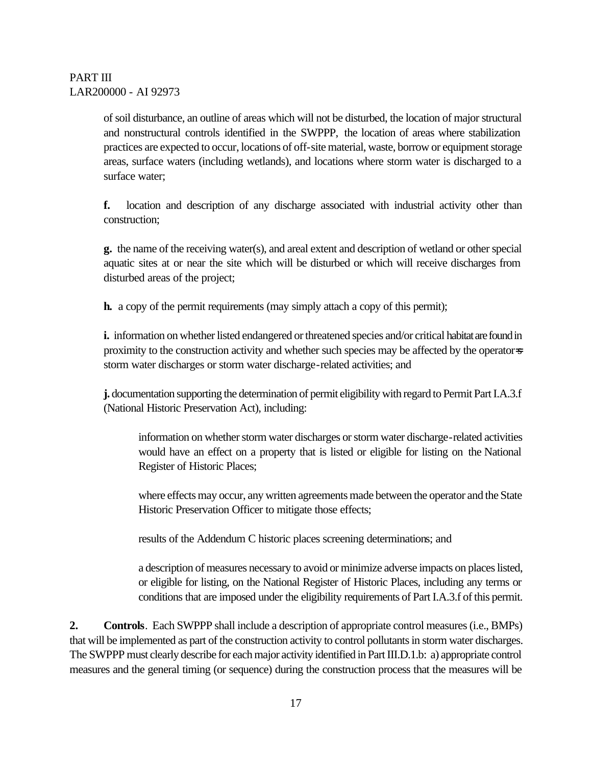of soil disturbance, an outline of areas which will not be disturbed, the location of major structural and nonstructural controls identified in the SWPPP, the location of areas where stabilization practices are expected to occur, locations of off-site material, waste, borrow or equipment storage areas, surface waters (including wetlands), and locations where storm water is discharged to a surface water;

**f.** location and description of any discharge associated with industrial activity other than construction;

 **g.** the name of the receiving water(s), and areal extent and description of wetland or other special aquatic sites at or near the site which will be disturbed or which will receive discharges from disturbed areas of the project;

**h.** a copy of the permit requirements (may simply attach a copy of this permit);

**i.** information on whether listed endangered or threatened species and/or critical habitat are found in proximity to the construction activity and whether such species may be affected by the operator=s storm water discharges or storm water discharge-related activities; and

**j.** documentation supporting the determination of permit eligibility with regard to Permit Part I.A.3.f (National Historic Preservation Act), including:

information on whether storm water discharges or storm water discharge-related activities would have an effect on a property that is listed or eligible for listing on the National Register of Historic Places;

where effects may occur, any written agreements made between the operator and the State Historic Preservation Officer to mitigate those effects;

results of the Addendum C historic places screening determinations; and

a description of measures necessary to avoid or minimize adverse impacts on places listed, or eligible for listing, on the National Register of Historic Places, including any terms or conditions that are imposed under the eligibility requirements of Part I.A.3.f of this permit.

**2. Controls**. Each SWPPP shall include a description of appropriate control measures (i.e., BMPs) that will be implemented as part of the construction activity to control pollutants in storm water discharges. The SWPPP must clearly describe for each major activity identified in Part III.D.1.b: a) appropriate control measures and the general timing (or sequence) during the construction process that the measures will be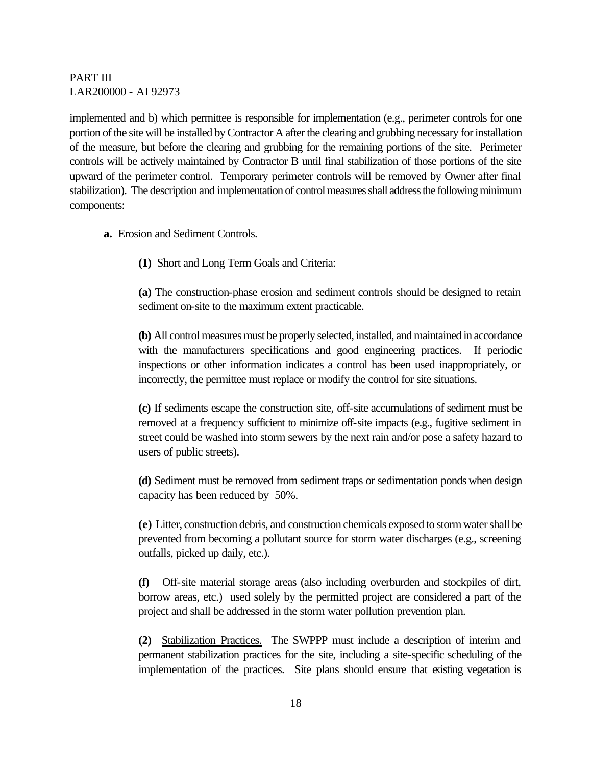implemented and b) which permittee is responsible for implementation (e.g., perimeter controls for one portion of the site will be installed by Contractor A after the clearing and grubbing necessary for installation of the measure, but before the clearing and grubbing for the remaining portions of the site. Perimeter controls will be actively maintained by Contractor B until final stabilization of those portions of the site upward of the perimeter control. Temporary perimeter controls will be removed by Owner after final stabilization). The description and implementation of control measures shall address the following minimum components:

#### **a.** Erosion and Sediment Controls.

**(1)** Short and Long Term Goals and Criteria:

**(a)** The construction-phase erosion and sediment controls should be designed to retain sediment on-site to the maximum extent practicable.

**(b)** All control measures must be properly selected, installed, and maintained in accordance with the manufacturers specifications and good engineering practices. If periodic inspections or other information indicates a control has been used inappropriately, or incorrectly, the permittee must replace or modify the control for site situations.

**(c)** If sediments escape the construction site, off-site accumulations of sediment must be removed at a frequency sufficient to minimize off-site impacts (e.g., fugitive sediment in street could be washed into storm sewers by the next rain and/or pose a safety hazard to users of public streets).

**(d)** Sediment must be removed from sediment traps or sedimentation ponds when design capacity has been reduced by 50%.

**(e)** Litter, construction debris, and construction chemicals exposed to storm water shall be prevented from becoming a pollutant source for storm water discharges (e.g., screening outfalls, picked up daily, etc.).

**(f)** Off-site material storage areas (also including overburden and stockpiles of dirt, borrow areas, etc.) used solely by the permitted project are considered a part of the project and shall be addressed in the storm water pollution prevention plan.

**(2)** Stabilization Practices. The SWPPP must include a description of interim and permanent stabilization practices for the site, including a site-specific scheduling of the implementation of the practices. Site plans should ensure that existing vegetation is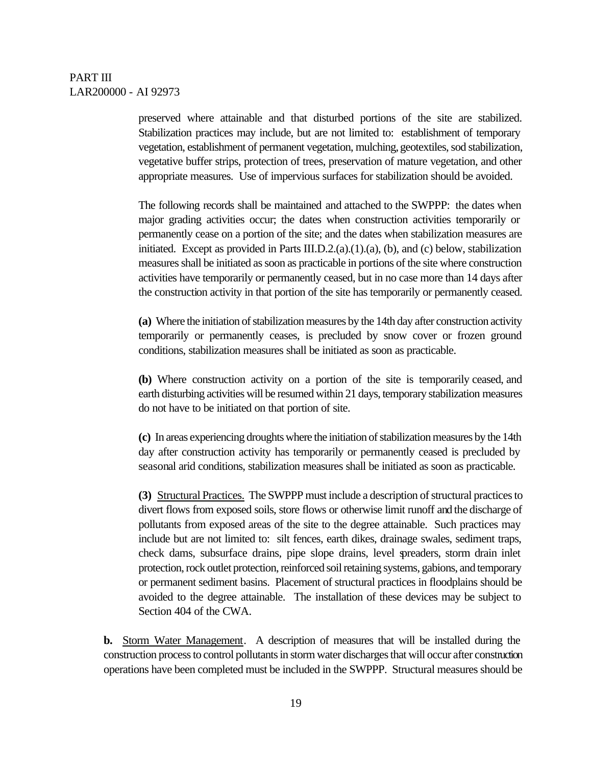preserved where attainable and that disturbed portions of the site are stabilized. Stabilization practices may include, but are not limited to: establishment of temporary vegetation, establishment of permanent vegetation, mulching, geotextiles, sod stabilization, vegetative buffer strips, protection of trees, preservation of mature vegetation, and other appropriate measures. Use of impervious surfaces for stabilization should be avoided.

The following records shall be maintained and attached to the SWPPP: the dates when major grading activities occur; the dates when construction activities temporarily or permanently cease on a portion of the site; and the dates when stabilization measures are initiated. Except as provided in Parts III.D.2. $(a)$ . $(1)$ . $(a)$ ,  $(b)$ , and  $(c)$  below, stabilization measures shall be initiated as soon as practicable in portions of the site where construction activities have temporarily or permanently ceased, but in no case more than 14 days after the construction activity in that portion of the site has temporarily or permanently ceased.

**(a)** Where the initiation of stabilization measures by the 14th day after construction activity temporarily or permanently ceases, is precluded by snow cover or frozen ground conditions, stabilization measures shall be initiated as soon as practicable.

**(b)** Where construction activity on a portion of the site is temporarily ceased, and earth disturbing activities will be resumed within 21 days, temporary stabilization measures do not have to be initiated on that portion of site.

**(c)** In areas experiencing droughts where the initiation of stabilization measures by the 14th day after construction activity has temporarily or permanently ceased is precluded by seasonal arid conditions, stabilization measures shall be initiated as soon as practicable.

**(3)** Structural Practices. The SWPPP must include a description of structural practices to divert flows from exposed soils, store flows or otherwise limit runoff and the discharge of pollutants from exposed areas of the site to the degree attainable. Such practices may include but are not limited to: silt fences, earth dikes, drainage swales, sediment traps, check dams, subsurface drains, pipe slope drains, level spreaders, storm drain inlet protection, rock outlet protection, reinforced soil retaining systems, gabions, and temporary or permanent sediment basins. Placement of structural practices in floodplains should be avoided to the degree attainable. The installation of these devices may be subject to Section 404 of the CWA.

**b.** Storm Water Management. A description of measures that will be installed during the construction process to control pollutants in storm water discharges that will occur after construction operations have been completed must be included in the SWPPP. Structural measures should be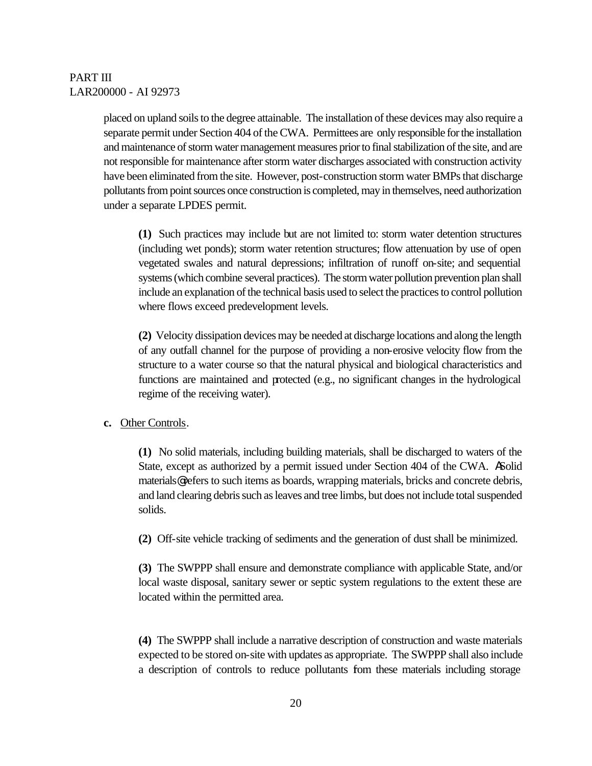placed on upland soils to the degree attainable. The installation of these devices may also require a separate permit under Section 404 of the CWA. Permittees are only responsible for the installation and maintenance of storm water management measures prior to final stabilization of the site, and are not responsible for maintenance after storm water discharges associated with construction activity have been eliminated from the site. However, post-construction storm water BMPs that discharge pollutants from point sources once construction is completed, may in themselves, need authorization under a separate LPDES permit.

**(1)** Such practices may include but are not limited to: storm water detention structures (including wet ponds); storm water retention structures; flow attenuation by use of open vegetated swales and natural depressions; infiltration of runoff on-site; and sequential systems (which combine several practices). The storm water pollution prevention plan shall include an explanation of the technical basis used to select the practices to control pollution where flows exceed predevelopment levels.

**(2)** Velocity dissipation devices may be needed at discharge locations and along the length of any outfall channel for the purpose of providing a non-erosive velocity flow from the structure to a water course so that the natural physical and biological characteristics and functions are maintained and protected (e.g., no significant changes in the hydrological regime of the receiving water).

#### **c.** Other Controls.

**(1)** No solid materials, including building materials, shall be discharged to waters of the State, except as authorized by a permit issued under Section 404 of the CWA. ASolid materials@ refers to such items as boards, wrapping materials, bricks and concrete debris, and land clearing debris such as leaves and tree limbs, but does not include total suspended solids.

**(2)** Off-site vehicle tracking of sediments and the generation of dust shall be minimized.

**(3)** The SWPPP shall ensure and demonstrate compliance with applicable State, and/or local waste disposal, sanitary sewer or septic system regulations to the extent these are located within the permitted area.

**(4)** The SWPPP shall include a narrative description of construction and waste materials expected to be stored on-site with updates as appropriate. The SWPPP shall also include a description of controls to reduce pollutants fom these materials including storage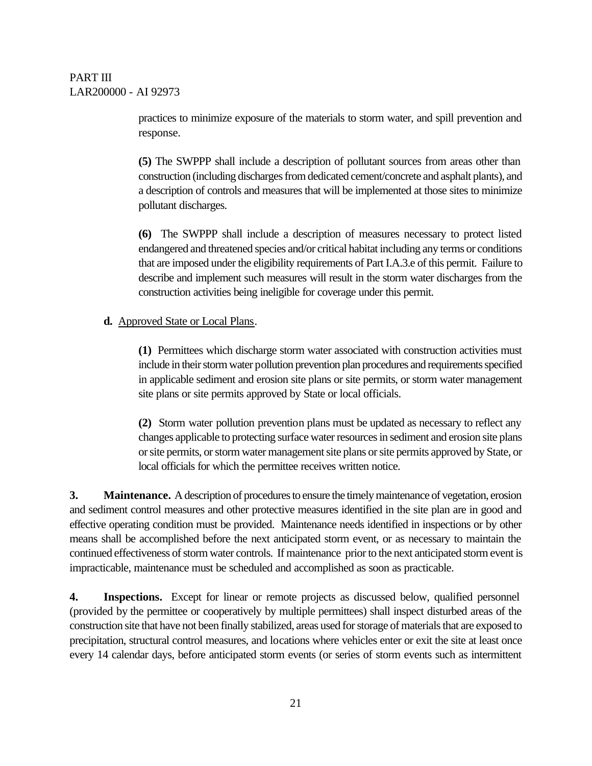practices to minimize exposure of the materials to storm water, and spill prevention and response.

**(5)** The SWPPP shall include a description of pollutant sources from areas other than construction (including discharges from dedicated cement/concrete and asphalt plants), and a description of controls and measures that will be implemented at those sites to minimize pollutant discharges.

**(6)** The SWPPP shall include a description of measures necessary to protect listed endangered and threatened species and/or critical habitat including any terms or conditions that are imposed under the eligibility requirements of Part I.A.3.e of this permit. Failure to describe and implement such measures will result in the storm water discharges from the construction activities being ineligible for coverage under this permit.

#### **d.** Approved State or Local Plans.

**(1)** Permittees which discharge storm water associated with construction activities must include in their storm water pollution prevention plan procedures and requirements specified in applicable sediment and erosion site plans or site permits, or storm water management site plans or site permits approved by State or local officials.

**(2)** Storm water pollution prevention plans must be updated as necessary to reflect any changes applicable to protecting surface water resources in sediment and erosion site plans or site permits, or storm water management site plans or site permits approved by State, or local officials for which the permittee receives written notice.

**3. Maintenance.** A description of procedures to ensure the timely maintenance of vegetation, erosion and sediment control measures and other protective measures identified in the site plan are in good and effective operating condition must be provided. Maintenance needs identified in inspections or by other means shall be accomplished before the next anticipated storm event, or as necessary to maintain the continued effectiveness of storm water controls. If maintenance prior to the next anticipated storm event is impracticable, maintenance must be scheduled and accomplished as soon as practicable.

**4. Inspections.** Except for linear or remote projects as discussed below, qualified personnel (provided by the permittee or cooperatively by multiple permittees) shall inspect disturbed areas of the construction site that have not been finally stabilized, areas used for storage of materials that are exposed to precipitation, structural control measures, and locations where vehicles enter or exit the site at least once every 14 calendar days, before anticipated storm events (or series of storm events such as intermittent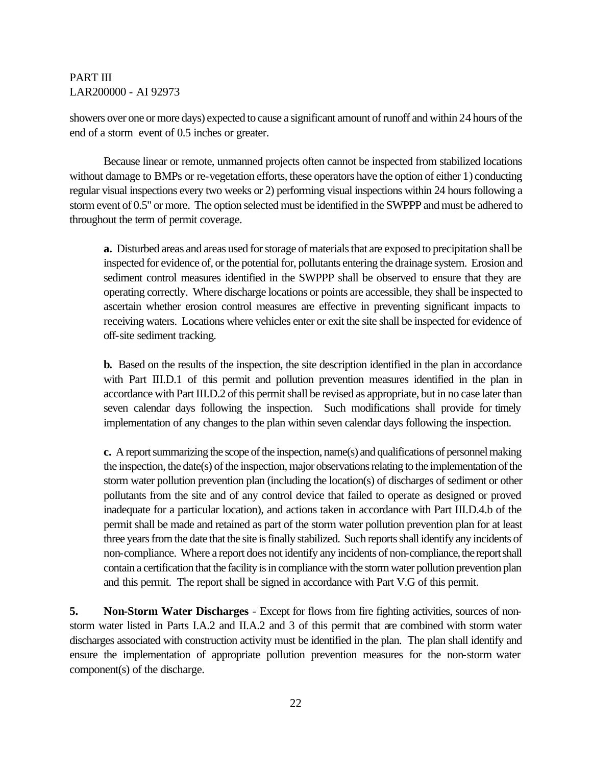showers over one or more days) expected to cause a significant amount of runoff and within 24 hours of the end of a storm event of 0.5 inches or greater.

Because linear or remote, unmanned projects often cannot be inspected from stabilized locations without damage to BMPs or re-vegetation efforts, these operators have the option of either 1) conducting regular visual inspections every two weeks or 2) performing visual inspections within 24 hours following a storm event of 0.5" or more. The option selected must be identified in the SWPPP and must be adhered to throughout the term of permit coverage.

 **a.** Disturbed areas and areas used for storage of materials that are exposed to precipitation shall be inspected for evidence of, or the potential for, pollutants entering the drainage system. Erosion and sediment control measures identified in the SWPPP shall be observed to ensure that they are operating correctly. Where discharge locations or points are accessible, they shall be inspected to ascertain whether erosion control measures are effective in preventing significant impacts to receiving waters. Locations where vehicles enter or exit the site shall be inspected for evidence of off-site sediment tracking.

**b.** Based on the results of the inspection, the site description identified in the plan in accordance with Part III.D.1 of this permit and pollution prevention measures identified in the plan in accordance with Part III.D.2 of this permit shall be revised as appropriate, but in no case later than seven calendar days following the inspection. Such modifications shall provide for timely implementation of any changes to the plan within seven calendar days following the inspection.

**c.** A report summarizing the scope of the inspection, name(s) and qualifications of personnel making the inspection, the date(s) of the inspection, major observations relating to the implementation of the storm water pollution prevention plan (including the location(s) of discharges of sediment or other pollutants from the site and of any control device that failed to operate as designed or proved inadequate for a particular location), and actions taken in accordance with Part III.D.4.b of the permit shall be made and retained as part of the storm water pollution prevention plan for at least three years from the date that the site is finally stabilized. Such reports shall identify any incidents of non-compliance. Where a report does not identify any incidents of non-compliance, the report shall contain a certification that the facility is in compliance with the storm water pollution prevention plan and this permit. The report shall be signed in accordance with Part V.G of this permit.

**5. Non-Storm Water Discharges** - Except for flows from fire fighting activities, sources of nonstorm water listed in Parts I.A.2 and II.A.2 and 3 of this permit that are combined with storm water discharges associated with construction activity must be identified in the plan. The plan shall identify and ensure the implementation of appropriate pollution prevention measures for the non-storm water component(s) of the discharge.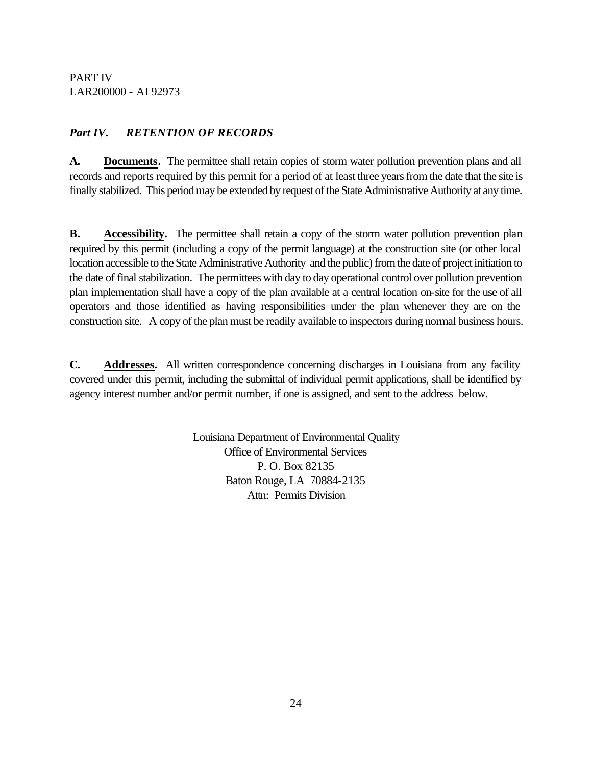# *Part IV. RETENTION OF RECORDS*

**A. Documents.** The permittee shall retain copies of storm water pollution prevention plans and all records and reports required by this permit for a period of at least three years from the date that the site is finally stabilized. This period may be extended by request of the State Administrative Authority at any time.

**B. Accessibility.** The permittee shall retain a copy of the storm water pollution prevention plan required by this permit (including a copy of the permit language) at the construction site (or other local location accessible to the State Administrative Authority and the public) from the date of project initiation to the date of final stabilization. The permittees with day to day operational control over pollution prevention plan implementation shall have a copy of the plan available at a central location on-site for the use of all operators and those identified as having responsibilities under the plan whenever they are on the construction site. A copy of the plan must be readily available to inspectors during normal business hours.

**C. Addresses.** All written correspondence concerning discharges in Louisiana from any facility covered under this permit, including the submittal of individual permit applications, shall be identified by agency interest number and/or permit number, if one is assigned, and sent to the address below.

> Louisiana Department of Environmental Quality Office of Environmental Services P. O. Box 82135 Baton Rouge, LA 70884-2135 Attn: Permits Division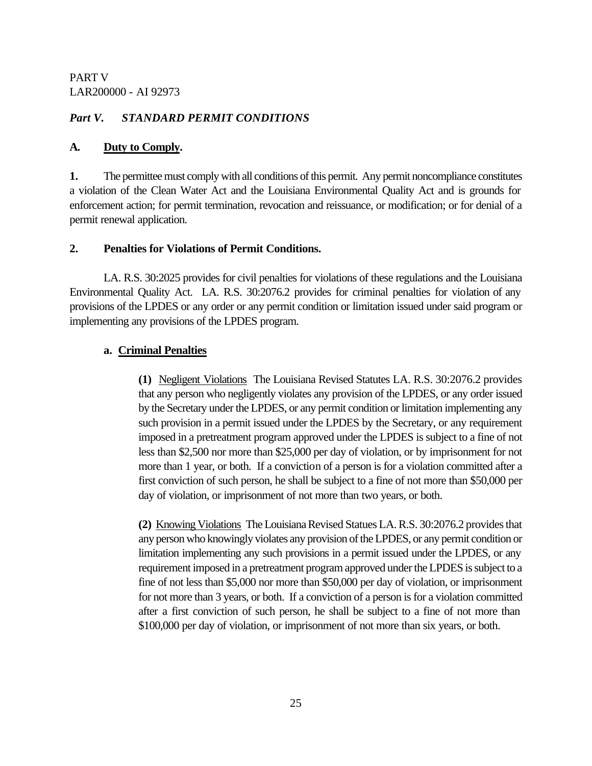### *Part V. STANDARD PERMIT CONDITIONS*

#### **A. Duty to Comply.**

**1.** The permittee must comply with all conditions of this permit. Any permit noncompliance constitutes a violation of the Clean Water Act and the Louisiana Environmental Quality Act and is grounds for enforcement action; for permit termination, revocation and reissuance, or modification; or for denial of a permit renewal application.

#### **2. Penalties for Violations of Permit Conditions.**

LA. R.S. 30:2025 provides for civil penalties for violations of these regulations and the Louisiana Environmental Quality Act. LA. R.S. 30:2076.2 provides for criminal penalties for violation of any provisions of the LPDES or any order or any permit condition or limitation issued under said program or implementing any provisions of the LPDES program.

#### **a. Criminal Penalties**

**(1)** Negligent Violations The Louisiana Revised Statutes LA. R.S. 30:2076.2 provides that any person who negligently violates any provision of the LPDES, or any order issued by the Secretary under the LPDES, or any permit condition or limitation implementing any such provision in a permit issued under the LPDES by the Secretary, or any requirement imposed in a pretreatment program approved under the LPDES is subject to a fine of not less than \$2,500 nor more than \$25,000 per day of violation, or by imprisonment for not more than 1 year, or both. If a conviction of a person is for a violation committed after a first conviction of such person, he shall be subject to a fine of not more than \$50,000 per day of violation, or imprisonment of not more than two years, or both.

**(2)** Knowing Violations The Louisiana Revised Statues LA. R.S. 30:2076.2 provides that any person who knowingly violates any provision of the LPDES, or any permit condition or limitation implementing any such provisions in a permit issued under the LPDES, or any requirement imposed in a pretreatment program approved under the LPDES is subject to a fine of not less than \$5,000 nor more than \$50,000 per day of violation, or imprisonment for not more than 3 years, or both. If a conviction of a person is for a violation committed after a first conviction of such person, he shall be subject to a fine of not more than \$100,000 per day of violation, or imprisonment of not more than six years, or both.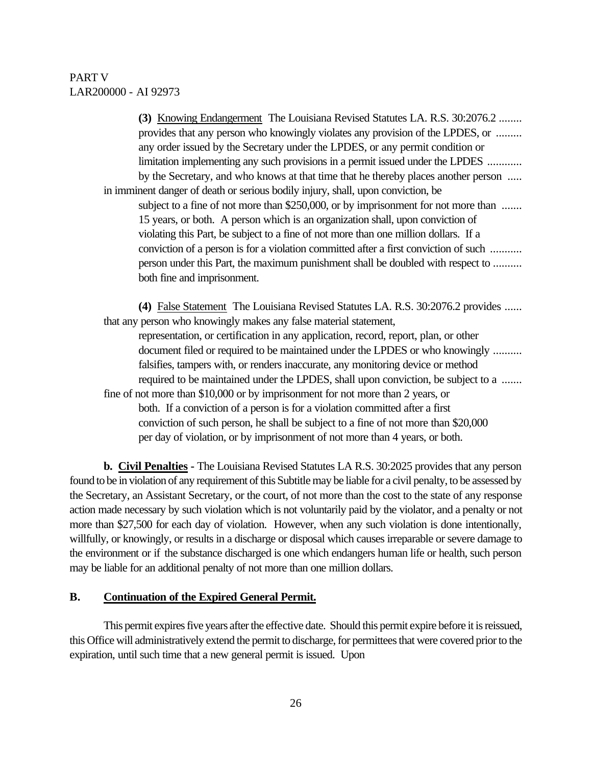**(3)** Knowing Endangerment The Louisiana Revised Statutes LA. R.S. 30:2076.2 ........ provides that any person who knowingly violates any provision of the LPDES, or ......... any order issued by the Secretary under the LPDES, or any permit condition or limitation implementing any such provisions in a permit issued under the LPDES ............ by the Secretary, and who knows at that time that he thereby places another person ..... in imminent danger of death or serious bodily injury, shall, upon conviction, be subject to a fine of not more than \$250,000, or by imprisonment for not more than ....... 15 years, or both. A person which is an organization shall, upon conviction of violating this Part, be subject to a fine of not more than one million dollars. If a conviction of a person is for a violation committed after a first conviction of such ........... person under this Part, the maximum punishment shall be doubled with respect to .......... both fine and imprisonment.

**(4)** False Statement The Louisiana Revised Statutes LA. R.S. 30:2076.2 provides ...... that any person who knowingly makes any false material statement, representation, or certification in any application, record, report, plan, or other document filed or required to be maintained under the LPDES or who knowingly .......... falsifies, tampers with, or renders inaccurate, any monitoring device or method required to be maintained under the LPDES, shall upon conviction, be subject to a ....... fine of not more than \$10,000 or by imprisonment for not more than 2 years, or both. If a conviction of a person is for a violation committed after a first conviction of such person, he shall be subject to a fine of not more than \$20,000 per day of violation, or by imprisonment of not more than 4 years, or both.

**b. Civil Penalties -** The Louisiana Revised Statutes LA R.S. 30:2025 provides that any person found to be in violation of any requirement of this Subtitle may be liable for a civil penalty, to be assessed by the Secretary, an Assistant Secretary, or the court, of not more than the cost to the state of any response action made necessary by such violation which is not voluntarily paid by the violator, and a penalty or not more than \$27,500 for each day of violation. However, when any such violation is done intentionally, willfully, or knowingly, or results in a discharge or disposal which causes irreparable or severe damage to the environment or if the substance discharged is one which endangers human life or health, such person may be liable for an additional penalty of not more than one million dollars.

#### **B. Continuation of the Expired General Permit.**

This permit expires five years after the effective date. Should this permit expire before it is reissued, this Office will administratively extend the permit to discharge, for permittees that were covered prior to the expiration, until such time that a new general permit is issued. Upon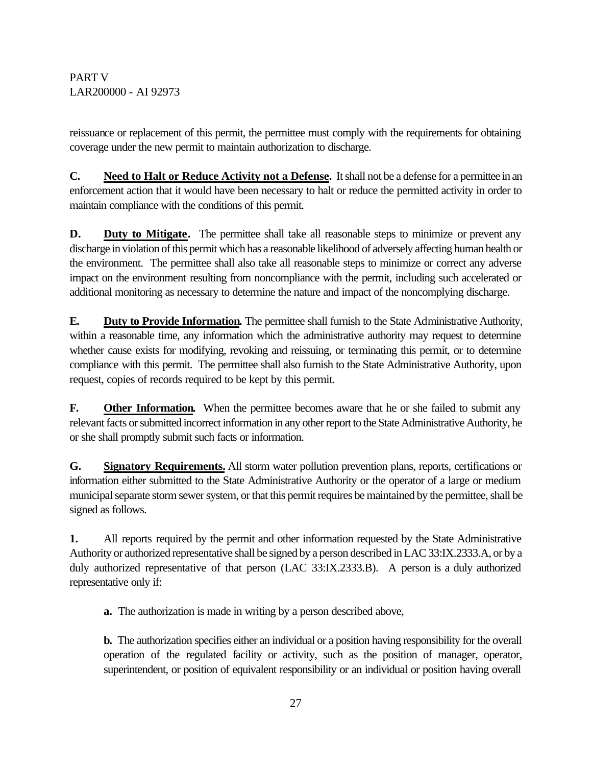reissuance or replacement of this permit, the permittee must comply with the requirements for obtaining coverage under the new permit to maintain authorization to discharge.

**C. Need to Halt or Reduce Activity not a Defense.** It shall not be a defense for a permittee in an enforcement action that it would have been necessary to halt or reduce the permitted activity in order to maintain compliance with the conditions of this permit.

**D. Duty to Mitigate.** The permittee shall take all reasonable steps to minimize or prevent any discharge in violation of this permit which has a reasonable likelihood of adversely affecting human health or the environment. The permittee shall also take all reasonable steps to minimize or correct any adverse impact on the environment resulting from noncompliance with the permit, including such accelerated or additional monitoring as necessary to determine the nature and impact of the noncomplying discharge.

**E. Duty to Provide Information.** The permittee shall furnish to the State Administrative Authority, within a reasonable time, any information which the administrative authority may request to determine whether cause exists for modifying, revoking and reissuing, or terminating this permit, or to determine compliance with this permit. The permittee shall also furnish to the State Administrative Authority, upon request, copies of records required to be kept by this permit.

**F. Other Information.** When the permittee becomes aware that he or she failed to submit any relevant facts or submitted incorrect information in any other report to the State Administrative Authority, he or she shall promptly submit such facts or information.

**G. Signatory Requirements.** All storm water pollution prevention plans, reports, certifications or information either submitted to the State Administrative Authority or the operator of a large or medium municipal separate storm sewer system, or that this permit requires be maintained by the permittee, shall be signed as follows.

**1.** All reports required by the permit and other information requested by the State Administrative Authority or authorized representative shall be signed by a person described in LAC 33:IX.2333.A, or by a duly authorized representative of that person (LAC 33:IX.2333.B). A person is a duly authorized representative only if:

**a.** The authorization is made in writing by a person described above,

**b.** The authorization specifies either an individual or a position having responsibility for the overall operation of the regulated facility or activity, such as the position of manager, operator, superintendent, or position of equivalent responsibility or an individual or position having overall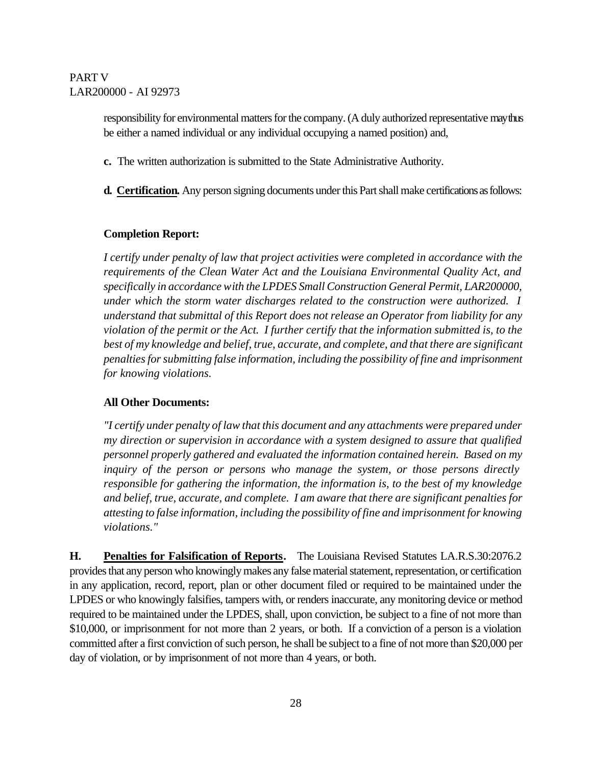responsibility for environmental matters for the company. (A duly authorized representative may thus be either a named individual or any individual occupying a named position) and,

- **c.** The written authorization is submitted to the State Administrative Authority.
- **d. Certification.** Any person signing documents under this Part shall make certifications as follows:

#### **Completion Report:**

*I certify under penalty of law that project activities were completed in accordance with the requirements of the Clean Water Act and the Louisiana Environmental Quality Act, and specifically in accordance with the LPDES Small Construction General Permit, LAR200000, under which the storm water discharges related to the construction were authorized. I understand that submittal of this Report does not release an Operator from liability for any violation of the permit or the Act. I further certify that the information submitted is, to the best of my knowledge and belief, true, accurate, and complete, and that there are significant penalties for submitting false information, including the possibility of fine and imprisonment for knowing violations.* 

#### **All Other Documents:**

*"I certify under penalty of law that this document and any attachments were prepared under my direction or supervision in accordance with a system designed to assure that qualified personnel properly gathered and evaluated the information contained herein. Based on my inquiry of the person or persons who manage the system, or those persons directly responsible for gathering the information, the information is, to the best of my knowledge and belief, true, accurate, and complete. I am aware that there are significant penalties for attesting to false information, including the possibility of fine and imprisonment for knowing violations."* 

**H. Penalties for Falsification of Reports.** The Louisiana Revised Statutes LA.R.S.30:2076.2 provides that any person who knowingly makes any false material statement, representation, or certification in any application, record, report, plan or other document filed or required to be maintained under the LPDES or who knowingly falsifies, tampers with, or renders inaccurate, any monitoring device or method required to be maintained under the LPDES, shall, upon conviction, be subject to a fine of not more than \$10,000, or imprisonment for not more than 2 years, or both. If a conviction of a person is a violation committed after a first conviction of such person, he shall be subject to a fine of not more than \$20,000 per day of violation, or by imprisonment of not more than 4 years, or both.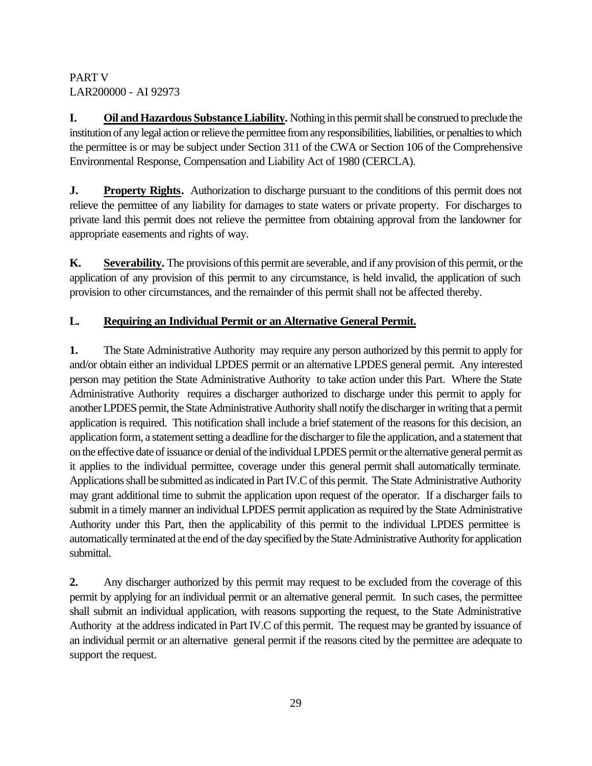**I. Oil and Hazardous Substance Liability.** Nothing in this permit shall be construed to preclude the institution of any legal action or relieve the permittee from any responsibilities, liabilities, or penalties to which the permittee is or may be subject under Section 311 of the CWA or Section 106 of the Comprehensive Environmental Response, Compensation and Liability Act of 1980 (CERCLA).

**J. Property Rights.** Authorization to discharge pursuant to the conditions of this permit does not relieve the permittee of any liability for damages to state waters or private property. For discharges to private land this permit does not relieve the permittee from obtaining approval from the landowner for appropriate easements and rights of way.

**K. Severability.** The provisions of this permit are severable, and if any provision of this permit, or the application of any provision of this permit to any circumstance, is held invalid, the application of such provision to other circumstances, and the remainder of this permit shall not be affected thereby.

# **L. Requiring an Individual Permit or an Alternative General Permit.**

**1.** The State Administrative Authority may require any person authorized by this permit to apply for and/or obtain either an individual LPDES permit or an alternative LPDES general permit. Any interested person may petition the State Administrative Authority to take action under this Part. Where the State Administrative Authority requires a discharger authorized to discharge under this permit to apply for another LPDES permit, the State Administrative Authority shall notify the discharger in writing that a permit application is required. This notification shall include a brief statement of the reasons for this decision, an application form, a statement setting a deadline for the discharger to file the application, and a statement that on the effective date of issuance or denial of the individual LPDES permit or the alternative general permit as it applies to the individual permittee, coverage under this general permit shall automatically terminate. Applications shall be submitted as indicated in Part IV.C of this permit. The State Administrative Authority may grant additional time to submit the application upon request of the operator. If a discharger fails to submit in a timely manner an individual LPDES permit application as required by the State Administrative Authority under this Part, then the applicability of this permit to the individual LPDES permittee is automatically terminated at the end of the day specified by the State Administrative Authority for application submittal.

**2.** Any discharger authorized by this permit may request to be excluded from the coverage of this permit by applying for an individual permit or an alternative general permit. In such cases, the permittee shall submit an individual application, with reasons supporting the request, to the State Administrative Authority at the address indicated in Part IV.C of this permit. The request may be granted by issuance of an individual permit or an alternative general permit if the reasons cited by the permittee are adequate to support the request.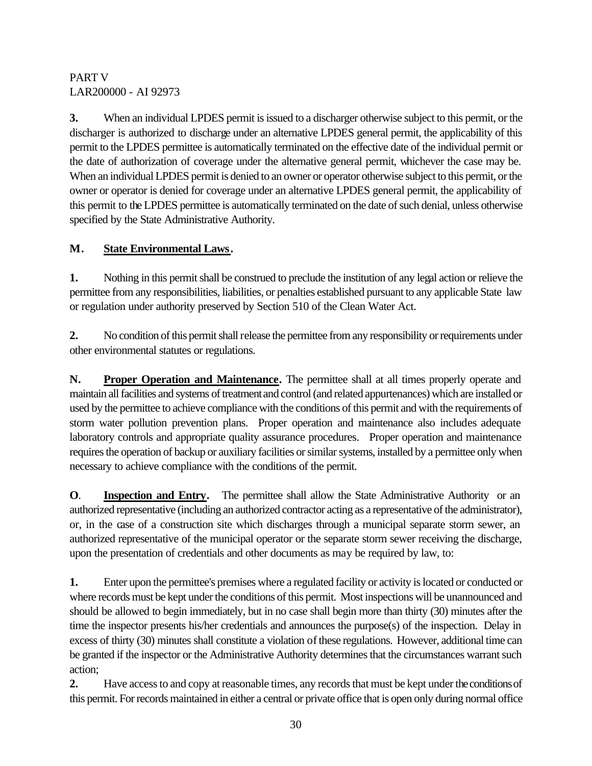**3.** When an individual LPDES permit is issued to a discharger otherwise subject to this permit, or the discharger is authorized to discharge under an alternative LPDES general permit, the applicability of this permit to the LPDES permittee is automatically terminated on the effective date of the individual permit or the date of authorization of coverage under the alternative general permit, whichever the case may be. When an individual LPDES permit is denied to an owner or operator otherwise subject to this permit, or the owner or operator is denied for coverage under an alternative LPDES general permit, the applicability of this permit to the LPDES permittee is automatically terminated on the date of such denial, unless otherwise specified by the State Administrative Authority.

# **M. State Environmental Laws.**

**1.** Nothing in this permit shall be construed to preclude the institution of any legal action or relieve the permittee from any responsibilities, liabilities, or penalties established pursuant to any applicable State law or regulation under authority preserved by Section 510 of the Clean Water Act.

**2.** No condition of this permit shall release the permittee from any responsibility or requirements under other environmental statutes or regulations.

**N. Proper Operation and Maintenance.** The permittee shall at all times properly operate and maintain all facilities and systems of treatment and control (and related appurtenances) which are installed or used by the permittee to achieve compliance with the conditions of this permit and with the requirements of storm water pollution prevention plans. Proper operation and maintenance also includes adequate laboratory controls and appropriate quality assurance procedures. Proper operation and maintenance requires the operation of backup or auxiliary facilities or similar systems, installed by a permittee only when necessary to achieve compliance with the conditions of the permit.

**O. Inspection and Entry.** The permittee shall allow the State Administrative Authority or an authorized representative (including an authorized contractor acting as a representative of the administrator), or, in the case of a construction site which discharges through a municipal separate storm sewer, an authorized representative of the municipal operator or the separate storm sewer receiving the discharge, upon the presentation of credentials and other documents as may be required by law, to:

**1.** Enter upon the permittee's premises where a regulated facility or activity is located or conducted or where records must be kept under the conditions of this permit. Most inspections will be unannounced and should be allowed to begin immediately, but in no case shall begin more than thirty (30) minutes after the time the inspector presents his/her credentials and announces the purpose(s) of the inspection. Delay in excess of thirty (30) minutes shall constitute a violation of these regulations. However, additional time can be granted if the inspector or the Administrative Authority determines that the circumstances warrant such action;

**2.** Have access to and copy at reasonable times, any records that must be kept under the conditions of this permit. For records maintained in either a central or private office that is open only during normal office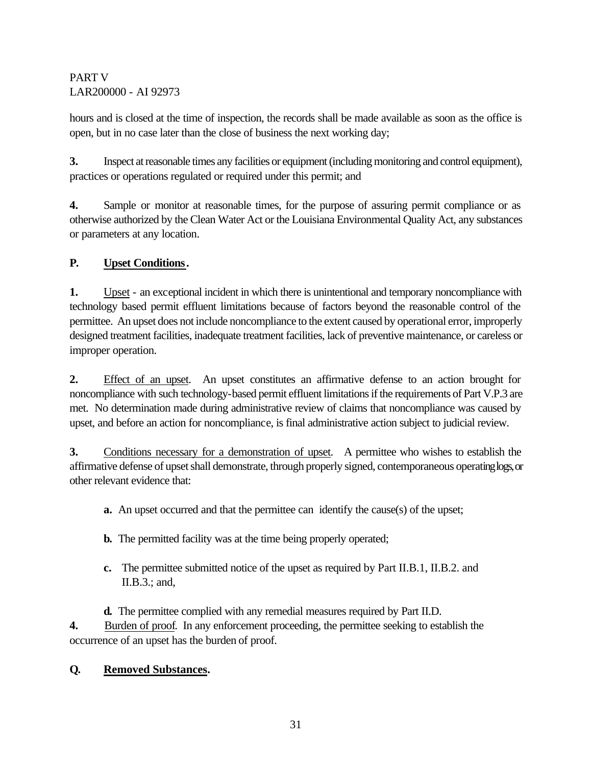hours and is closed at the time of inspection, the records shall be made available as soon as the office is open, but in no case later than the close of business the next working day;

**3.** Inspect at reasonable times any facilities or equipment (including monitoring and control equipment), practices or operations regulated or required under this permit; and

**4.** Sample or monitor at reasonable times, for the purpose of assuring permit compliance or as otherwise authorized by the Clean Water Act or the Louisiana Environmental Quality Act, any substances or parameters at any location.

# **P. Upset Conditions.**

**1.** Upset - an exceptional incident in which there is unintentional and temporary noncompliance with technology based permit effluent limitations because of factors beyond the reasonable control of the permittee. An upset does not include noncompliance to the extent caused by operational error, improperly designed treatment facilities, inadequate treatment facilities, lack of preventive maintenance, or careless or improper operation.

**2.** Effect of an upset. An upset constitutes an affirmative defense to an action brought for noncompliance with such technology-based permit effluent limitations if the requirements of Part V.P.3 are met. No determination made during administrative review of claims that noncompliance was caused by upset, and before an action for noncompliance, is final administrative action subject to judicial review.

**3.** Conditions necessary for a demonstration of upset. A permittee who wishes to establish the affirmative defense of upset shall demonstrate, through properly signed, contemporaneous operating logs, or other relevant evidence that:

- **a.** An upset occurred and that the permittee can identify the cause(s) of the upset;
- **b.** The permitted facility was at the time being properly operated;
- **c.** The permittee submitted notice of the upset as required by Part II.B.1, II.B.2. and II.B.3.; and,

**d.** The permittee complied with any remedial measures required by Part II.D.

**4.** Burden of proof. In any enforcement proceeding, the permittee seeking to establish the occurrence of an upset has the burden of proof.

# **Q***.* **Removed Substances.**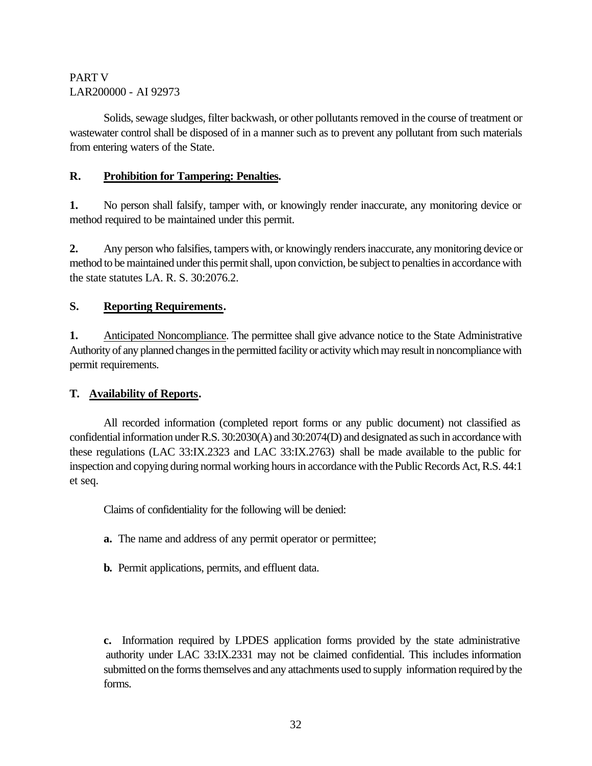Solids, sewage sludges, filter backwash, or other pollutants removed in the course of treatment or wastewater control shall be disposed of in a manner such as to prevent any pollutant from such materials from entering waters of the State.

# **R. Prohibition for Tampering: Penalties.**

**1.** No person shall falsify, tamper with, or knowingly render inaccurate, any monitoring device or method required to be maintained under this permit.

**2.** Any person who falsifies, tampers with, or knowingly renders inaccurate, any monitoring device or method to be maintained under this permit shall, upon conviction, be subject to penalties in accordance with the state statutes LA. R. S. 30:2076.2.

# **S. Reporting Requirements.**

**1.** Anticipated Noncompliance. The permittee shall give advance notice to the State Administrative Authority of any planned changes in the permitted facility or activity which may result in noncompliance with permit requirements.

# **T. Availability of Reports.**

All recorded information (completed report forms or any public document) not classified as confidential information under R.S. 30:2030(A) and 30:2074(D) and designated as such in accordance with these regulations (LAC 33:IX.2323 and LAC 33:IX.2763) shall be made available to the public for inspection and copying during normal working hours in accordance with the Public Records Act, R.S. 44:1 et seq.

Claims of confidentiality for the following will be denied:

- **a.** The name and address of any permit operator or permittee;
- **b.** Permit applications, permits, and effluent data.

**c.** Information required by LPDES application forms provided by the state administrative authority under LAC 33:IX.2331 may not be claimed confidential. This includes information submitted on the forms themselves and any attachments used to supply information required by the forms.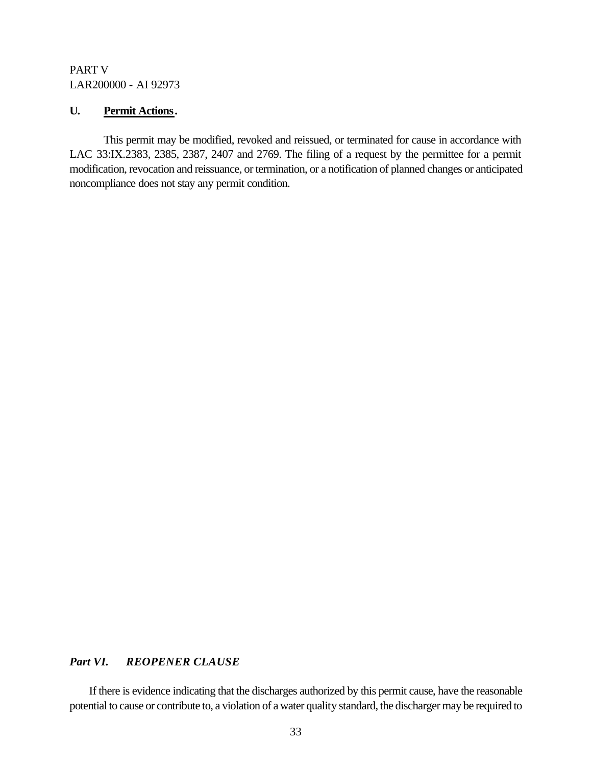#### **U. Permit Actions.**

This permit may be modified, revoked and reissued, or terminated for cause in accordance with LAC 33:IX.2383, 2385, 2387, 2407 and 2769. The filing of a request by the permittee for a permit modification, revocation and reissuance, or termination, or a notification of planned changes or anticipated noncompliance does not stay any permit condition.

#### **Part VI. REOPENER CLAUSE**

If there is evidence indicating that the discharges authorized by this permit cause, have the reasonable potential to cause or contribute to, a violation of a water quality standard, the discharger may be required to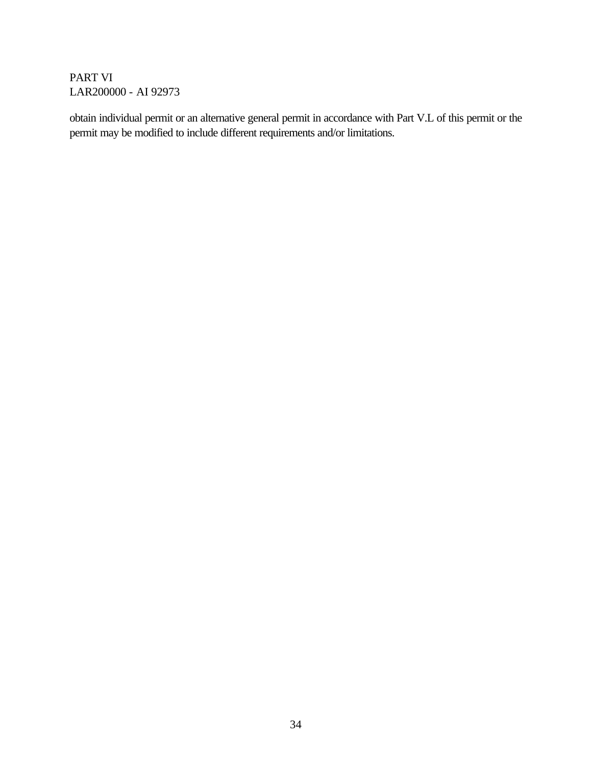obtain individual permit or an alternative general permit in accordance with Part V.L of this permit or the permit may be modified to include different requirements and/or limitations.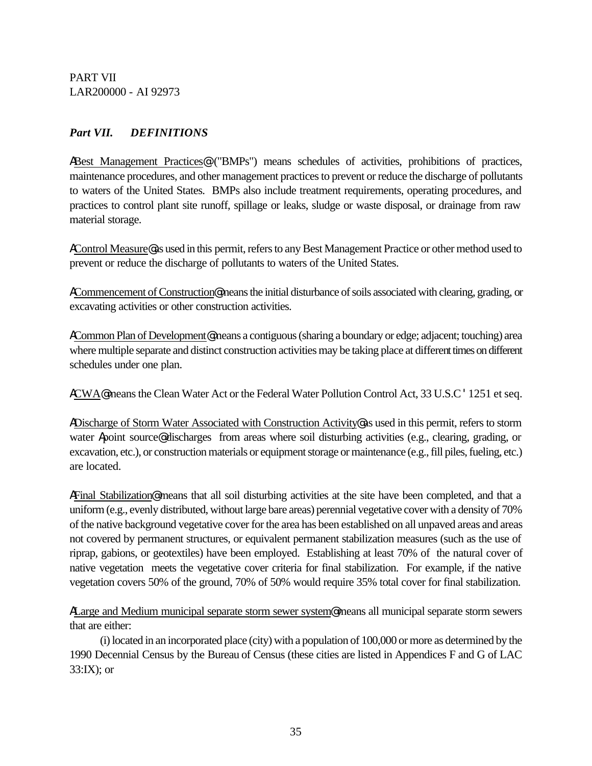# *Part VII. DEFINITIONS*

ABest Management Practices@ ("BMPs") means schedules of activities, prohibitions of practices, maintenance procedures, and other management practices to prevent or reduce the discharge of pollutants to waters of the United States. BMPs also include treatment requirements, operating procedures, and practices to control plant site runoff, spillage or leaks, sludge or waste disposal, or drainage from raw material storage.

AControl Measure@ as used in this permit, refers to any Best Management Practice or other method used to prevent or reduce the discharge of pollutants to waters of the United States.

ACommencement of Construction@ means the initial disturbance of soils associated with clearing, grading, or excavating activities or other construction activities.

ACommon Plan of Development@ means a contiguous (sharing a boundary or edge; adjacent; touching) area where multiple separate and distinct construction activities may be taking place at different times on different schedules under one plan.

ACWA@ means the Clean Water Act or the Federal Water Pollution Control Act, 33 U.S.C '1251 et seq.

ADischarge of Storm Water Associated with Construction Activity@ as used in this permit, refers to storm water Apoint source adischarges from areas where soil disturbing activities (e.g., clearing, grading, or excavation, etc.), or construction materials or equipment storage or maintenance (e.g., fill piles, fueling, etc.) are located.

AFinal Stabilization@ means that all soil disturbing activities at the site have been completed, and that a uniform (e.g., evenly distributed, without large bare areas) perennial vegetative cover with a density of 70% of the native background vegetative cover for the area has been established on all unpaved areas and areas not covered by permanent structures, or equivalent permanent stabilization measures (such as the use of riprap, gabions, or geotextiles) have been employed. Establishing at least 70% of the natural cover of native vegetation meets the vegetative cover criteria for final stabilization. For example, if the native vegetation covers 50% of the ground, 70% of 50% would require 35% total cover for final stabilization.

ALarge and Medium municipal separate storm sewer system@ means all municipal separate storm sewers that are either:

(i) located in an incorporated place (city) with a population of 100,000 or more as determined by the 1990 Decennial Census by the Bureau of Census (these cities are listed in Appendices F and G of LAC 33:IX); or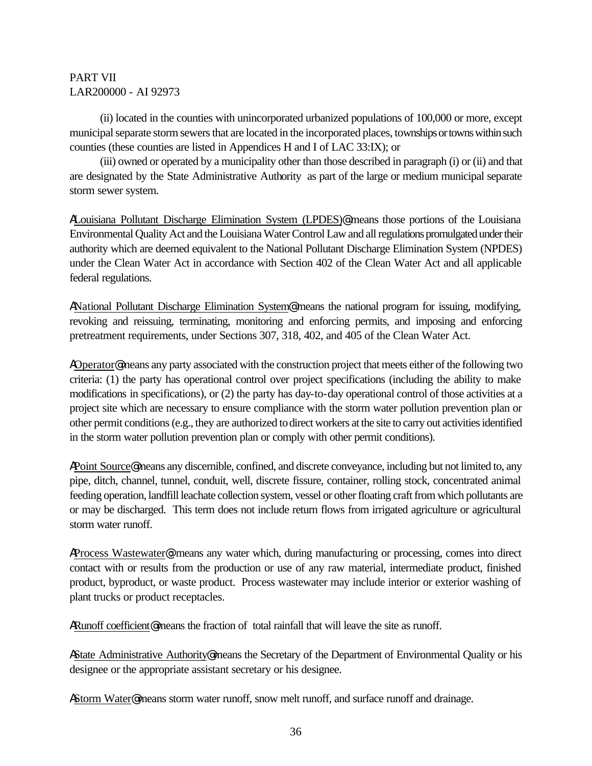(ii) located in the counties with unincorporated urbanized populations of 100,000 or more, except municipal separate storm sewers that are located in the incorporated places, townships or towns within such counties (these counties are listed in Appendices H and I of LAC 33:IX); or

(iii) owned or operated by a municipality other than those described in paragraph (i) or (ii) and that are designated by the State Administrative Authority as part of the large or medium municipal separate storm sewer system.

ALouisiana Pollutant Discharge Elimination System (LPDES)@ means those portions of the Louisiana Environmental Quality Act and the Louisiana Water Control Law and all regulations promulgated under their authority which are deemed equivalent to the National Pollutant Discharge Elimination System (NPDES) under the Clean Water Act in accordance with Section 402 of the Clean Water Act and all applicable federal regulations.

ANational Pollutant Discharge Elimination System@ means the national program for issuing, modifying, revoking and reissuing, terminating, monitoring and enforcing permits, and imposing and enforcing pretreatment requirements, under Sections 307, 318, 402, and 405 of the Clean Water Act.

AOperator@means any party associated with the construction project that meets either of the following two criteria: (1) the party has operational control over project specifications (including the ability to make modifications in specifications), or (2) the party has day-to-day operational control of those activities at a project site which are necessary to ensure compliance with the storm water pollution prevention plan or other permit conditions (e.g., they are authorized to direct workers at the site to carry out activities identified in the storm water pollution prevention plan or comply with other permit conditions).

APoint Source@ means any discernible, confined, and discrete conveyance, including but not limited to, any pipe, ditch, channel, tunnel, conduit, well, discrete fissure, container, rolling stock, concentrated animal feeding operation, landfill leachate collection system, vessel or other floating craft from which pollutants are or may be discharged. This term does not include return flows from irrigated agriculture or agricultural storm water runoff.

AProcess Wastewater@: means any water which, during manufacturing or processing, comes into direct contact with or results from the production or use of any raw material, intermediate product, finished product, byproduct, or waste product. Process wastewater may include interior or exterior washing of plant trucks or product receptacles.

ARunoff coefficient@ means the fraction of total rainfall that will leave the site as runoff.

AState Administrative Authority@ means the Secretary of the Department of Environmental Quality or his designee or the appropriate assistant secretary or his designee.

AStorm Water@ means storm water runoff, snow melt runoff, and surface runoff and drainage.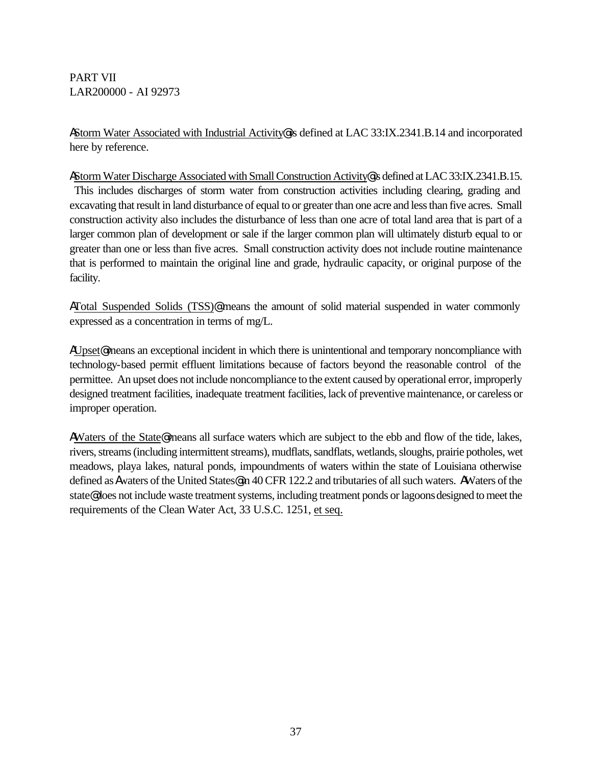AStorm Water Associated with Industrial Activity@ is defined at LAC 33:IX.2341.B.14 and incorporated here by reference.

AStorm Water Discharge Associated with Small Construction Activity@ is defined at LAC 33:IX.2341.B.15. This includes discharges of storm water from construction activities including clearing, grading and excavating that result in land disturbance of equal to or greater than one acre and less than five acres. Small construction activity also includes the disturbance of less than one acre of total land area that is part of a larger common plan of development or sale if the larger common plan will ultimately disturb equal to or greater than one or less than five acres. Small construction activity does not include routine maintenance that is performed to maintain the original line and grade, hydraulic capacity, or original purpose of the facility.

ATotal Suspended Solids (TSS)@ means the amount of solid material suspended in water commonly expressed as a concentration in terms of mg/L.

AUpset<sup>®</sup> means an exceptional incident in which there is unintentional and temporary noncompliance with technology-based permit effluent limitations because of factors beyond the reasonable control of the permittee. An upset does not include noncompliance to the extent caused by operational error, improperly designed treatment facilities, inadequate treatment facilities, lack of preventive maintenance, or careless or improper operation.

AWaters of the State@ means all surface waters which are subject to the ebb and flow of the tide, lakes, rivers, streams (including intermittent streams), mudflats, sandflats, wetlands, sloughs, prairie potholes, wet meadows, playa lakes, natural ponds, impoundments of waters within the state of Louisiana otherwise defined as Awaters of the United States@ in 40 CFR 122.2 and tributaries of all such waters. AWaters of the state@ does not include waste treatment systems, including treatment ponds or lagoons designed to meet the requirements of the Clean Water Act, 33 U.S.C. 1251, et seq.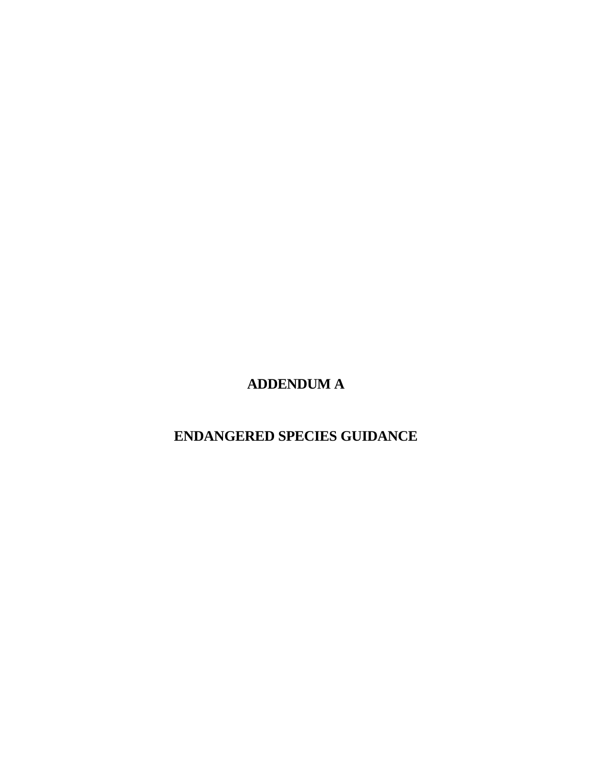**ADDENDUM A**

**ENDANGERED SPECIES GUIDANCE**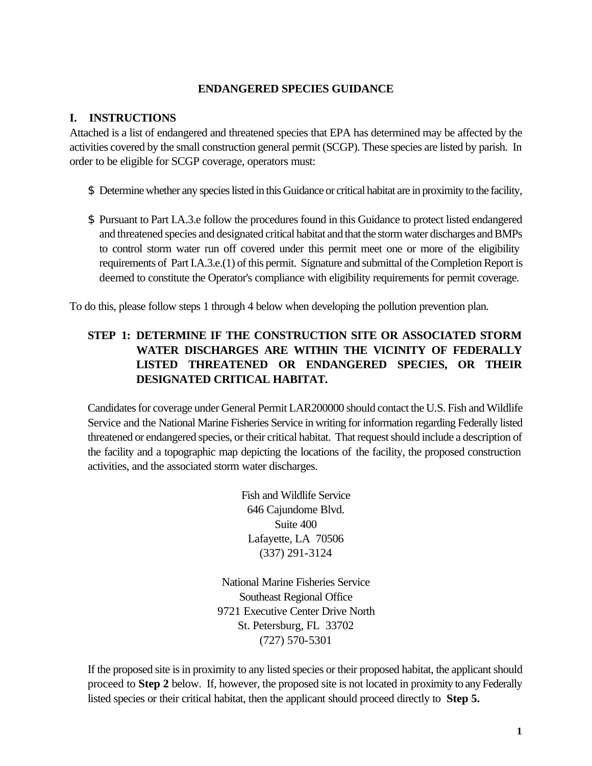#### **ENDANGERED SPECIES GUIDANCE**

#### **I. INSTRUCTIONS**

Attached is a list of endangered and threatened species that EPA has determined may be affected by the activities covered by the small construction general permit (SCGP). These species are listed by parish. In order to be eligible for SCGP coverage, operators must:

- \$ Determine whether any species listed in this Guidance or critical habitat are in proximity to the facility,
- \$ Pursuant to Part I.A.3.e follow the procedures found in this Guidance to protect listed endangered and threatened species and designated critical habitat and that the storm water discharges and BMPs to control storm water run off covered under this permit meet one or more of the eligibility requirements of Part I.A.3.e.(1) of this permit. Signature and submittal of the Completion Report is deemed to constitute the Operator's compliance with eligibility requirements for permit coverage.

To do this, please follow steps 1 through 4 below when developing the pollution prevention plan.

# **STEP 1: DETERMINE IF THE CONSTRUCTION SITE OR ASSOCIATED STORM WATER DISCHARGES ARE WITHIN THE VICINITY OF FEDERALLY LISTED THREATENED OR ENDANGERED SPECIES, OR THEIR DESIGNATED CRITICAL HABITAT.**

Candidates for coverage under General Permit LAR200000 should contact the U.S. Fish and Wildlife Service and the National Marine Fisheries Service in writing for information regarding Federally listed threatened or endangered species, or their critical habitat. That request should include a description of the facility and a topographic map depicting the locations of the facility, the proposed construction activities, and the associated storm water discharges.

> Fish and Wildlife Service 646 Cajundome Blvd. Suite 400 Lafayette, LA 70506 (337) 291-3124

National Marine Fisheries Service Southeast Regional Office 9721 Executive Center Drive North St. Petersburg, FL 33702 (727) 570-5301

If the proposed site is in proximity to any listed species or their proposed habitat, the applicant should proceed to **Step 2** below. If, however, the proposed site is not located in proximity to any Federally listed species or their critical habitat, then the applicant should proceed directly to **Step 5.**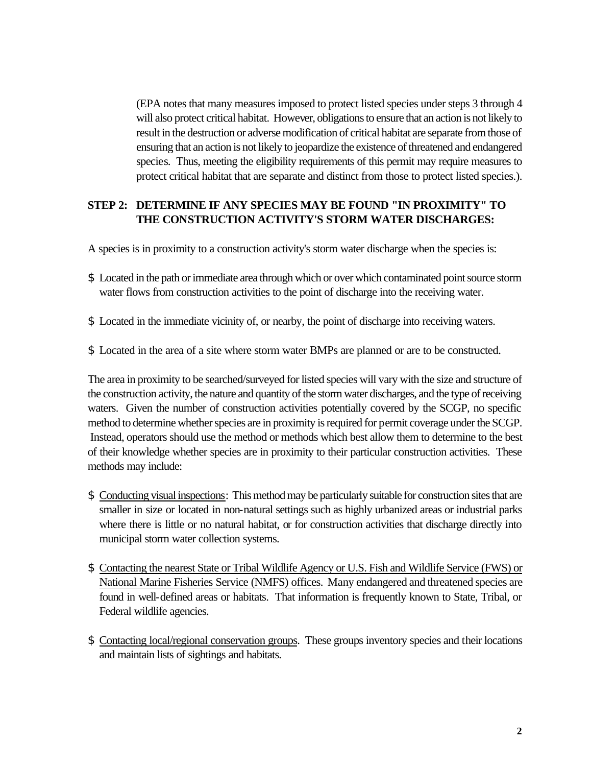(EPA notes that many measures imposed to protect listed species under steps 3 through 4 will also protect critical habitat. However, obligations to ensure that an action is not likely to result in the destruction or adverse modification of critical habitat are separate from those of ensuring that an action is not likely to jeopardize the existence of threatened and endangered species. Thus, meeting the eligibility requirements of this permit may require measures to protect critical habitat that are separate and distinct from those to protect listed species.).

# **STEP 2: DETERMINE IF ANY SPECIES MAY BE FOUND "IN PROXIMITY" TO THE CONSTRUCTION ACTIVITY'S STORM WATER DISCHARGES:**

A species is in proximity to a construction activity's storm water discharge when the species is:

- \$ Located in the path or immediate area through which or over which contaminated point source storm water flows from construction activities to the point of discharge into the receiving water.
- \$ Located in the immediate vicinity of, or nearby, the point of discharge into receiving waters.
- \$ Located in the area of a site where storm water BMPs are planned or are to be constructed.

The area in proximity to be searched/surveyed for listed species will vary with the size and structure of the construction activity, the nature and quantity of the storm water discharges, and the type of receiving waters. Given the number of construction activities potentially covered by the SCGP, no specific method to determine whether species are in proximity is required for permit coverage under the SCGP. Instead, operators should use the method or methods which best allow them to determine to the best of their knowledge whether species are in proximity to their particular construction activities. These methods may include:

- \$ Conducting visual inspections: This method may be particularly suitable for construction sites that are smaller in size or located in non-natural settings such as highly urbanized areas or industrial parks where there is little or no natural habitat, or for construction activities that discharge directly into municipal storm water collection systems.
- \$ Contacting the nearest State or Tribal Wildlife Agency or U.S. Fish and Wildlife Service (FWS) or National Marine Fisheries Service (NMFS) offices. Many endangered and threatened species are found in well-defined areas or habitats. That information is frequently known to State, Tribal, or Federal wildlife agencies.
- \$ Contacting local/regional conservation groups. These groups inventory species and their locations and maintain lists of sightings and habitats.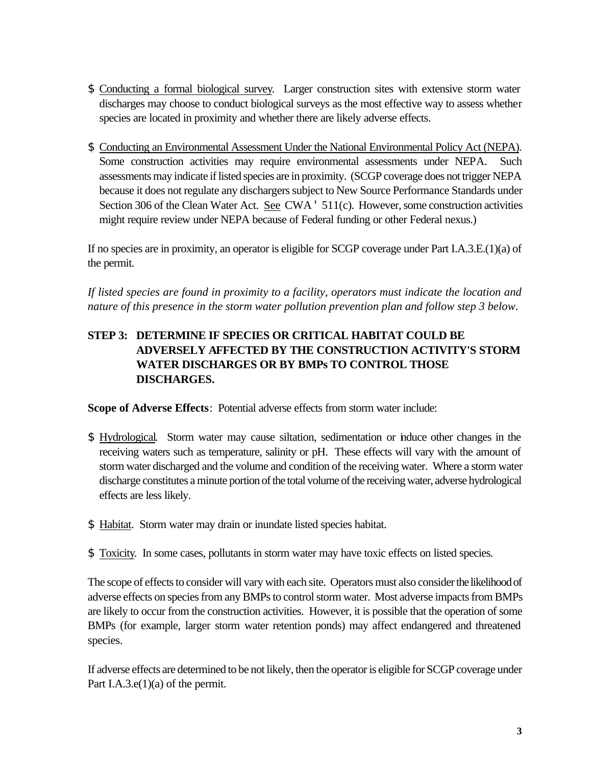- \$ Conducting a formal biological survey. Larger construction sites with extensive storm water discharges may choose to conduct biological surveys as the most effective way to assess whether species are located in proximity and whether there are likely adverse effects.
- \$ Conducting an Environmental Assessment Under the National Environmental Policy Act (NEPA). Some construction activities may require environmental assessments under NEPA. Such assessments may indicate if listed species are in proximity. (SCGP coverage does not trigger NEPA because it does not regulate any dischargers subject to New Source Performance Standards under Section 306 of the Clean Water Act. See CWA ' 511(c). However, some construction activities might require review under NEPA because of Federal funding or other Federal nexus.)

If no species are in proximity, an operator is eligible for SCGP coverage under Part I.A.3.E.(1)(a) of the permit.

*If listed species are found in proximity to a facility, operators must indicate the location and nature of this presence in the storm water pollution prevention plan and follow step 3 below*.

# **STEP 3: DETERMINE IF SPECIES OR CRITICAL HABITAT COULD BE ADVERSELY AFFECTED BY THE CONSTRUCTION ACTIVITY'S STORM WATER DISCHARGES OR BY BMPs TO CONTROL THOSE DISCHARGES.**

**Scope of Adverse Effects**: Potential adverse effects from storm water include:

- \$ Hydrological. Storm water may cause siltation, sedimentation or induce other changes in the receiving waters such as temperature, salinity or pH. These effects will vary with the amount of storm water discharged and the volume and condition of the receiving water. Where a storm water discharge constitutes a minute portion of the total volume of the receiving water, adverse hydrological effects are less likely.
- \$ Habitat. Storm water may drain or inundate listed species habitat.
- \$ Toxicity. In some cases, pollutants in storm water may have toxic effects on listed species.

The scope of effects to consider will vary with each site. Operators must also consider the likelihood of adverse effects on species from any BMPs to control storm water. Most adverse impacts from BMPs are likely to occur from the construction activities. However, it is possible that the operation of some BMPs (for example, larger storm water retention ponds) may affect endangered and threatened species.

If adverse effects are determined to be not likely, then the operator is eligible for SCGP coverage under Part I.A.3.e(1)(a) of the permit.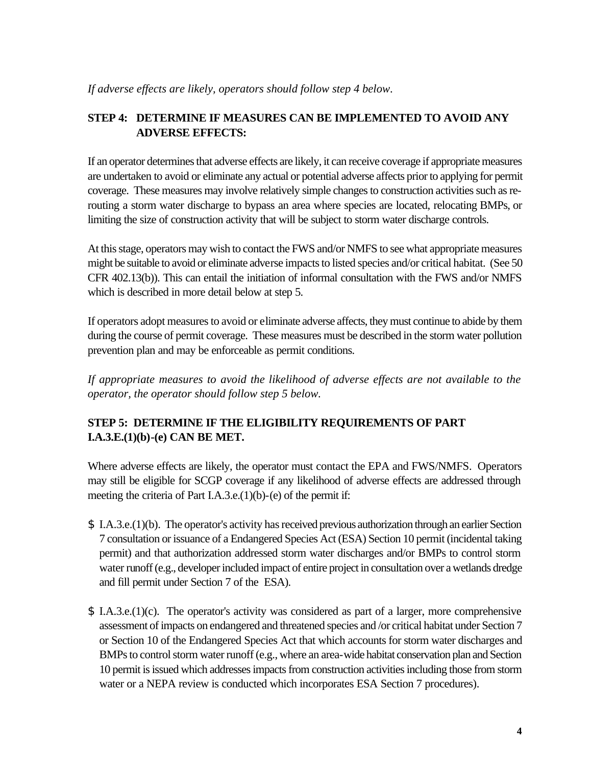# **STEP 4: DETERMINE IF MEASURES CAN BE IMPLEMENTED TO AVOID ANY ADVERSE EFFECTS:**

If an operator determines that adverse effects are likely, it can receive coverage if appropriate measures are undertaken to avoid or eliminate any actual or potential adverse affects prior to applying for permit coverage. These measures may involve relatively simple changes to construction activities such as rerouting a storm water discharge to bypass an area where species are located, relocating BMPs, or limiting the size of construction activity that will be subject to storm water discharge controls.

At this stage, operators may wish to contact the FWS and/or NMFS to see what appropriate measures might be suitable to avoid or eliminate adverse impacts to listed species and/or critical habitat. (See 50 CFR 402.13(b)). This can entail the initiation of informal consultation with the FWS and/or NMFS which is described in more detail below at step 5.

If operators adopt measures to avoid or eliminate adverse affects, they must continue to abide by them during the course of permit coverage. These measures must be described in the storm water pollution prevention plan and may be enforceable as permit conditions.

*If appropriate measures to avoid the likelihood of adverse effects are not available to the operator, the operator should follow step 5 below.*

# **STEP 5: DETERMINE IF THE ELIGIBILITY REQUIREMENTS OF PART I.A.3.E.(1)(b)-(e) CAN BE MET.**

Where adverse effects are likely, the operator must contact the EPA and FWS/NMFS. Operators may still be eligible for SCGP coverage if any likelihood of adverse effects are addressed through meeting the criteria of Part I.A.3.e.(1)(b)-(e) of the permit if:

- \$ I.A.3.e.(1)(b). The operator's activity has received previous authorization through an earlier Section 7 consultation or issuance of a Endangered Species Act (ESA) Section 10 permit (incidental taking permit) and that authorization addressed storm water discharges and/or BMPs to control storm water runoff (e.g., developer included impact of entire project in consultation over a wetlands dredge and fill permit under Section 7 of the ESA).
- \$ I.A.3.e.(1)(c). The operator's activity was considered as part of a larger, more comprehensive assessment of impacts on endangered and threatened species and /or critical habitat under Section 7 or Section 10 of the Endangered Species Act that which accounts for storm water discharges and BMPs to control storm water runoff (e.g., where an area-wide habitat conservation plan and Section 10 permit is issued which addresses impacts from construction activities including those from storm water or a NEPA review is conducted which incorporates ESA Section 7 procedures).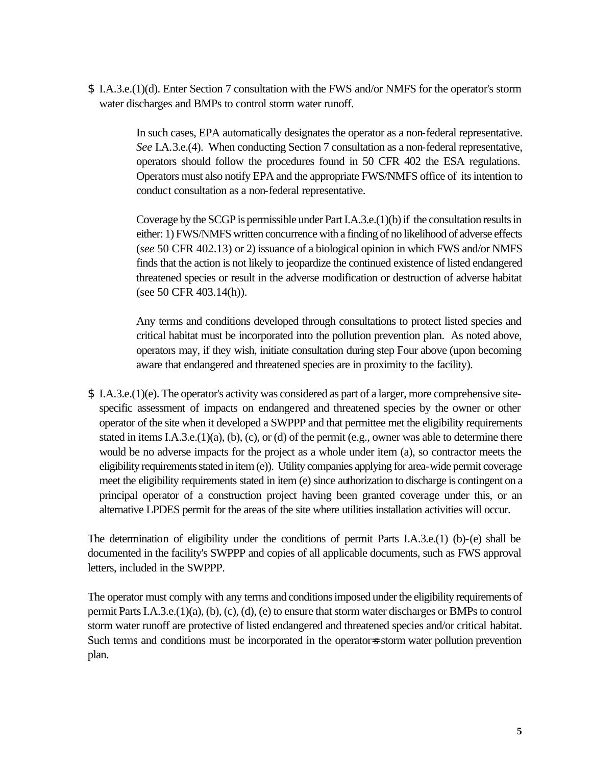\$ I.A.3.e.(1)(d). Enter Section 7 consultation with the FWS and/or NMFS for the operator's storm water discharges and BMPs to control storm water runoff.

> In such cases, EPA automatically designates the operator as a non-federal representative. *See* I.A.3.e.(4). When conducting Section 7 consultation as a non-federal representative, operators should follow the procedures found in 50 CFR 402 the ESA regulations. Operators must also notify EPA and the appropriate FWS/NMFS office of its intention to conduct consultation as a non-federal representative.

> Coverage by the SCGP is permissible under Part I.A.3.e.(1)(b) if the consultation results in either: 1) FWS/NMFS written concurrence with a finding of no likelihood of adverse effects (*see* 50 CFR 402.13) or 2) issuance of a biological opinion in which FWS and/or NMFS finds that the action is not likely to jeopardize the continued existence of listed endangered threatened species or result in the adverse modification or destruction of adverse habitat (see 50 CFR 403.14(h)).

> Any terms and conditions developed through consultations to protect listed species and critical habitat must be incorporated into the pollution prevention plan. As noted above, operators may, if they wish, initiate consultation during step Four above (upon becoming aware that endangered and threatened species are in proximity to the facility).

\$ I.A.3.e.(1)(e). The operator's activity was considered as part of a larger, more comprehensive sitespecific assessment of impacts on endangered and threatened species by the owner or other operator of the site when it developed a SWPPP and that permittee met the eligibility requirements stated in items I.A.3.e.(1)(a), (b), (c), or (d) of the permit (e.g., owner was able to determine there would be no adverse impacts for the project as a whole under item (a), so contractor meets the eligibility requirements stated in item (e)). Utility companies applying for area-wide permit coverage meet the eligibility requirements stated in item (e) since authorization to discharge is contingent on a principal operator of a construction project having been granted coverage under this, or an alternative LPDES permit for the areas of the site where utilities installation activities will occur.

The determination of eligibility under the conditions of permit Parts I.A.3.e.(1) (b)-(e) shall be documented in the facility's SWPPP and copies of all applicable documents, such as FWS approval letters, included in the SWPPP.

The operator must comply with any terms and conditions imposed under the eligibility requirements of permit Parts I.A.3.e.(1)(a), (b), (c), (d), (e) to ensure that storm water discharges or BMPs to control storm water runoff are protective of listed endangered and threatened species and/or critical habitat. Such terms and conditions must be incorporated in the operator=s storm water pollution prevention plan.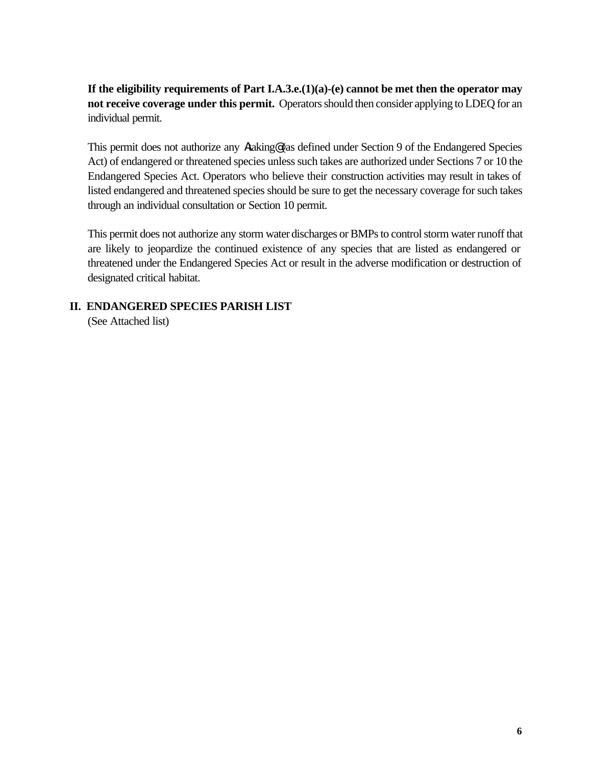**If the eligibility requirements of Part I.A.3.e.(1)(a)-(e) cannot be met then the operator may not receive coverage under this permit.** Operators should then consider applying to LDEQ for an individual permit.

This permit does not authorize any Ataking@ (as defined under Section 9 of the Endangered Species Act) of endangered or threatened species unless such takes are authorized under Sections 7 or 10 the Endangered Species Act. Operators who believe their construction activities may result in takes of listed endangered and threatened species should be sure to get the necessary coverage for such takes through an individual consultation or Section 10 permit.

This permit does not authorize any storm water discharges or BMPs to control storm water runoff that are likely to jeopardize the continued existence of any species that are listed as endangered or threatened under the Endangered Species Act or result in the adverse modification or destruction of designated critical habitat.

# **II. ENDANGERED SPECIES PARISH LIST**

(See Attached list)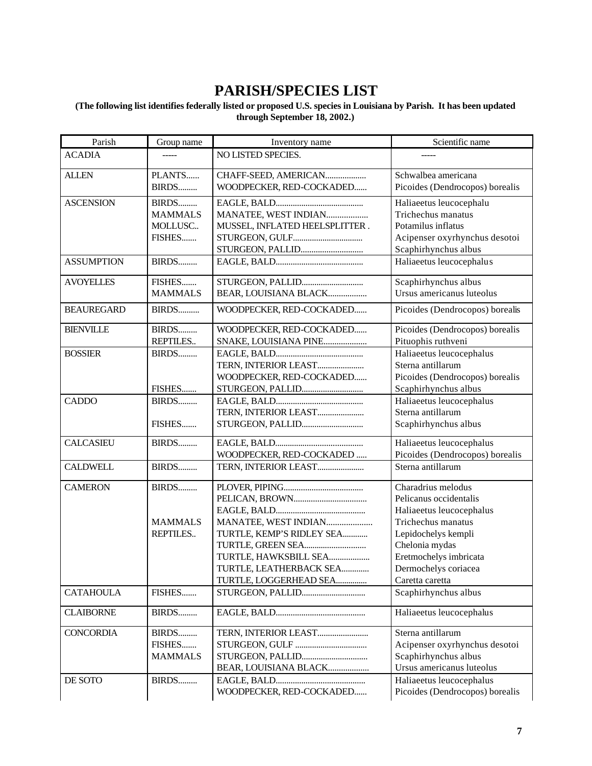# **PARISH/SPECIES LIST**

#### **(The following list identifies federally listed or proposed U.S. species in Louisiana by Parish. It has been updated through September 18, 2002.)**

| Parish            | Group name     | Inventory name                 | Scientific name                 |
|-------------------|----------------|--------------------------------|---------------------------------|
| <b>ACADIA</b>     | -----          | NO LISTED SPECIES.             |                                 |
| <b>ALLEN</b>      | PLANTS         | CHAFF-SEED, AMERICAN           | Schwalbea americana             |
|                   | BIRDS          | WOODPECKER, RED-COCKADED       | Picoides (Dendrocopos) borealis |
| <b>ASCENSION</b>  | BIRDS          |                                | Haliaeetus leucocephalu         |
|                   | <b>MAMMALS</b> | MANATEE, WEST INDIAN           | Trichechus manatus              |
|                   | MOLLUSC        | MUSSEL, INFLATED HEELSPLITTER. | Potamilus inflatus              |
|                   | FISHES         |                                | Acipenser oxyrhynchus desotoi   |
|                   |                | STURGEON, PALLID               | Scaphirhynchus albus            |
| <b>ASSUMPTION</b> | BIRDS          |                                | Haliaeetus leucocephalus        |
| <b>AVOYELLES</b>  | FISHES         | STURGEON, PALLID               | Scaphirhynchus albus            |
|                   | <b>MAMMALS</b> | BEAR, LOUISIANA BLACK          | Ursus americanus luteolus       |
| <b>BEAUREGARD</b> | BIRDS          | WOODPECKER, RED-COCKADED       | Picoides (Dendrocopos) borealis |
| <b>BIENVILLE</b>  | BIRDS          | WOODPECKER, RED-COCKADED       | Picoides (Dendrocopos) borealis |
|                   | REPTILES       | SNAKE, LOUISIANA PINE          | Pituophis ruthveni              |
| <b>BOSSIER</b>    | BIRDS          |                                | Haliaeetus leucocephalus        |
|                   |                | TERN, INTERIOR LEAST           | Sterna antillarum               |
|                   |                | WOODPECKER, RED-COCKADED       | Picoides (Dendrocopos) borealis |
|                   | FISHES         | STURGEON, PALLID               | Scaphirhynchus albus            |
| <b>CADDO</b>      | BIRDS          |                                | Haliaeetus leucocephalus        |
|                   |                | TERN, INTERIOR LEAST           | Sterna antillarum               |
|                   | FISHES         | STURGEON, PALLID               | Scaphirhynchus albus            |
| <b>CALCASIEU</b>  | BIRDS          |                                | Haliaeetus leucocephalus        |
|                   |                | WOODPECKER, RED-COCKADED       | Picoides (Dendrocopos) borealis |
| <b>CALDWELL</b>   | BIRDS          | TERN, INTERIOR LEAST           | Sterna antillarum               |
| <b>CAMERON</b>    | BIRDS          |                                | Charadrius melodus              |
|                   |                |                                | Pelicanus occidentalis          |
|                   |                |                                | Haliaeetus leucocephalus        |
|                   | <b>MAMMALS</b> | MANATEE, WEST INDIAN           | Trichechus manatus              |
|                   | REPTILES       | TURTLE, KEMP'S RIDLEY SEA      | Lepidochelys kempli             |
|                   |                |                                | Chelonia mydas                  |
|                   |                | TURTLE, HAWKSBILL SEA          | Eretmochelys imbricata          |
|                   |                | TURTLE, LEATHERBACK SEA        | Dermochelys coriacea            |
|                   |                | TURTLE, LOGGERHEAD SEA         | Caretta caretta                 |
| <b>CATAHOULA</b>  | FISHES         | STURGEON, PALLID               | Scaphirhynchus albus            |
| <b>CLAIBORNE</b>  | BIRDS          |                                | Haliaeetus leucocephalus        |
| <b>CONCORDIA</b>  | BIRDS          | TERN, INTERIOR LEAST           | Sterna antillarum               |
|                   | FISHES         |                                | Acipenser oxyrhynchus desotoi   |
|                   | <b>MAMMALS</b> | STURGEON, PALLID               | Scaphirhynchus albus            |
|                   |                | BEAR, LOUISIANA BLACK          | Ursus americanus luteolus       |
| DE SOTO           | BIRDS          |                                | Haliaeetus leucocephalus        |
|                   |                | WOODPECKER, RED-COCKADED       | Picoides (Dendrocopos) borealis |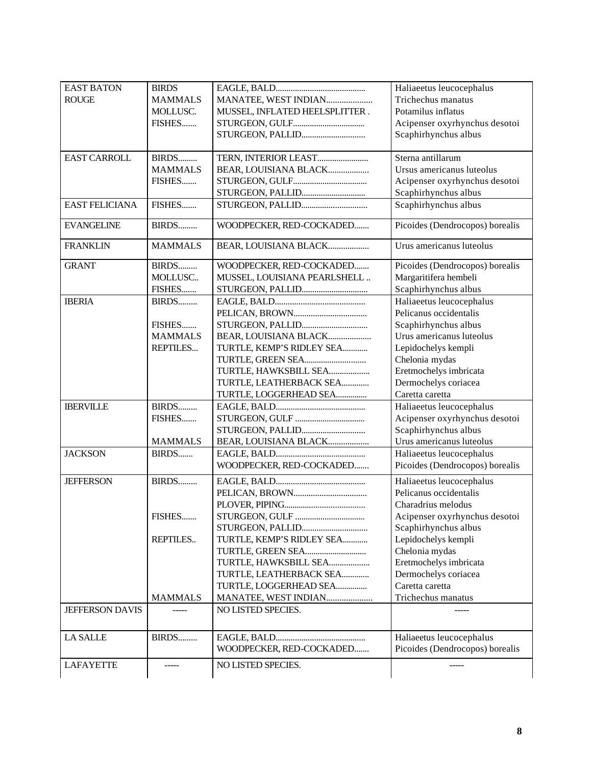| <b>EAST BATON</b><br><b>ROUGE</b> | <b>BIRDS</b><br><b>MAMMALS</b> | MANATEE, WEST INDIAN                               | Haliaeetus leucocephalus<br>Trichechus manatus<br>Potamilus inflatus |
|-----------------------------------|--------------------------------|----------------------------------------------------|----------------------------------------------------------------------|
|                                   | MOLLUSC.<br>FISHES             | MUSSEL, INFLATED HEELSPLITTER.<br>STURGEON, PALLID | Acipenser oxyrhynchus desotoi<br>Scaphirhynchus albus                |
| <b>EAST CARROLL</b>               | BIRDS                          | TERN, INTERIOR LEAST                               | Sterna antillarum                                                    |
|                                   | <b>MAMMALS</b>                 | BEAR, LOUISIANA BLACK                              | Ursus americanus luteolus                                            |
|                                   | FISHES                         |                                                    | Acipenser oxyrhynchus desotoi                                        |
|                                   |                                | STURGEON, PALLID                                   | Scaphirhynchus albus                                                 |
| <b>EAST FELICIANA</b>             | FISHES                         | STURGEON, PALLID                                   | Scaphirhynchus albus                                                 |
| <b>EVANGELINE</b>                 | BIRDS                          | WOODPECKER, RED-COCKADED                           | Picoides (Dendrocopos) borealis                                      |
| <b>FRANKLIN</b>                   | <b>MAMMALS</b>                 | BEAR, LOUISIANA BLACK                              | Urus americanus luteolus                                             |
| <b>GRANT</b>                      | BIRDS                          | WOODPECKER, RED-COCKADED                           | Picoides (Dendrocopos) borealis                                      |
|                                   | MOLLUSC                        | MUSSEL, LOUISIANA PEARLSHELL                       | Margaritifera hembeli                                                |
|                                   | FISHES                         |                                                    | Scaphirhynchus albus                                                 |
| <b>IBERIA</b>                     | BIRDS                          |                                                    | Haliaeetus leucocephalus                                             |
|                                   |                                |                                                    | Pelicanus occidentalis                                               |
|                                   | FISHES                         | STURGEON, PALLID                                   | Scaphirhynchus albus                                                 |
|                                   | <b>MAMMALS</b>                 | BEAR, LOUISIANA BLACK                              | Urus americanus luteolus                                             |
|                                   | REPTILES                       | TURTLE, KEMP'S RIDLEY SEA                          | Lepidochelys kempli                                                  |
|                                   |                                | TURTLE, GREEN SEA                                  | Chelonia mydas                                                       |
|                                   |                                | TURTLE, HAWKSBILL SEA                              | Eretmochelys imbricata                                               |
|                                   |                                | TURTLE, LEATHERBACK SEA                            | Dermochelys coriacea                                                 |
|                                   |                                | TURTLE, LOGGERHEAD SEA                             | Caretta caretta                                                      |
| <b>IBERVILLE</b>                  | BIRDS                          |                                                    | Haliaeetus leucocephalus                                             |
|                                   | FISHES                         |                                                    | Acipenser oxyrhynchus desotoi                                        |
|                                   |                                | STURGEON, PALLID                                   | Scaphirhynchus albus                                                 |
|                                   | <b>MAMMALS</b>                 | BEAR, LOUISIANA BLACK                              | Urus americanus luteolus                                             |
| <b>JACKSON</b>                    | BIRDS                          |                                                    | Haliaeetus leucocephalus                                             |
|                                   |                                | WOODPECKER, RED-COCKADED                           | Picoides (Dendrocopos) borealis                                      |
| <b>JEFFERSON</b>                  | BIRDS                          |                                                    | Haliaeetus leucocephalus                                             |
|                                   |                                |                                                    | Pelicanus occidentalis                                               |
|                                   |                                |                                                    | Charadrius melodus                                                   |
|                                   | FISHES                         |                                                    | Acipenser oxyrhynchus desotoi                                        |
|                                   |                                | STURGEON, PALLID                                   | Scaphirhynchus albus                                                 |
|                                   | REPTILES                       | TURTLE, KEMP'S RIDLEY SEA                          | Lepidochelys kempli                                                  |
|                                   |                                | TURTLE, GREEN SEA                                  | Chelonia mydas                                                       |
|                                   |                                | TURTLE, HAWKSBILL SEA                              | Eretmochelys imbricata                                               |
|                                   |                                | TURTLE, LEATHERBACK SEA                            | Dermochelys coriacea                                                 |
|                                   |                                | TURTLE, LOGGERHEAD SEA                             | Caretta caretta                                                      |
|                                   | <b>MAMMALS</b>                 | MANATEE, WEST INDIAN                               | Trichechus manatus                                                   |
| <b>JEFFERSON DAVIS</b>            |                                | NO LISTED SPECIES.                                 |                                                                      |
| <b>LA SALLE</b>                   | BIRDS                          |                                                    | Haliaeetus leucocephalus                                             |
|                                   |                                | WOODPECKER, RED-COCKADED                           | Picoides (Dendrocopos) borealis                                      |
| LAFAYETTE                         | -----                          | NO LISTED SPECIES.                                 | ------                                                               |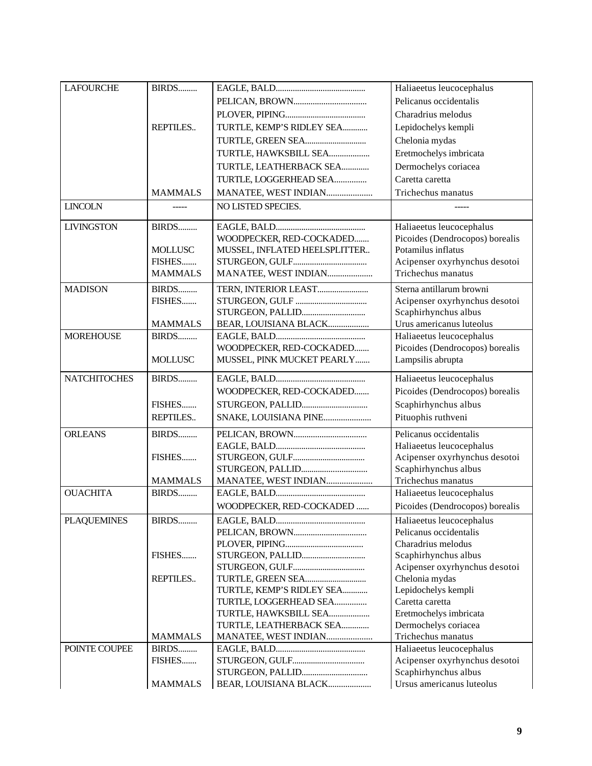| <b>LAFOURCHE</b>    | BIRDS          |                               | Haliaeetus leucocephalus                           |
|---------------------|----------------|-------------------------------|----------------------------------------------------|
|                     |                |                               | Pelicanus occidentalis                             |
|                     |                |                               | Charadrius melodus                                 |
|                     | REPTILES       | TURTLE, KEMP'S RIDLEY SEA     | Lepidochelys kempli                                |
|                     |                | TURTLE, GREEN SEA             | Chelonia mydas                                     |
|                     |                | TURTLE, HAWKSBILL SEA         | Eretmochelys imbricata                             |
|                     |                | TURTLE, LEATHERBACK SEA       | Dermochelys coriacea                               |
|                     |                | TURTLE, LOGGERHEAD SEA        | Caretta caretta                                    |
|                     | <b>MAMMALS</b> | MANATEE, WEST INDIAN          | Trichechus manatus                                 |
| <b>LINCOLN</b>      |                | NO LISTED SPECIES.            |                                                    |
|                     |                |                               |                                                    |
| <b>LIVINGSTON</b>   | BIRDS          |                               | Haliaeetus leucocephalus                           |
|                     |                | WOODPECKER, RED-COCKADED      | Picoides (Dendrocopos) borealis                    |
|                     | <b>MOLLUSC</b> | MUSSEL, INFLATED HEELSPLITTER | Potamilus inflatus                                 |
|                     | FISHES         |                               | Acipenser oxyrhynchus desotoi                      |
|                     | <b>MAMMALS</b> | MANATEE, WEST INDIAN          | Trichechus manatus                                 |
| <b>MADISON</b>      | BIRDS          | TERN, INTERIOR LEAST          | Sterna antillarum browni                           |
|                     | FISHES         |                               | Acipenser oxyrhynchus desotoi                      |
|                     |                | STURGEON, PALLID              | Scaphirhynchus albus                               |
|                     | <b>MAMMALS</b> | BEAR, LOUISIANA BLACK         | Urus americanus luteolus                           |
| <b>MOREHOUSE</b>    | BIRDS          |                               | Haliaeetus leucocephalus                           |
|                     |                | WOODPECKER, RED-COCKADED      | Picoides (Dendrocopos) borealis                    |
|                     | <b>MOLLUSC</b> | MUSSEL, PINK MUCKET PEARLY    | Lampsilis abrupta                                  |
| <b>NATCHITOCHES</b> | BIRDS          |                               | Haliaeetus leucocephalus                           |
|                     |                | WOODPECKER, RED-COCKADED      | Picoides (Dendrocopos) borealis                    |
|                     | FISHES         | STURGEON, PALLID              | Scaphirhynchus albus                               |
|                     | REPTILES       | SNAKE, LOUISIANA PINE         | Pituophis ruthveni                                 |
| <b>ORLEANS</b>      | BIRDS          |                               | Pelicanus occidentalis                             |
|                     |                |                               | Haliaeetus leucocephalus                           |
|                     | FISHES         |                               | Acipenser oxyrhynchus desotoi                      |
|                     |                | STURGEON, PALLID              | Scaphirhynchus albus                               |
|                     | <b>MAMMALS</b> | MANATEE, WEST INDIAN          | Trichechus manatus                                 |
| <b>OUACHITA</b>     | BIRDS          |                               | Haliaeetus leucocephalus                           |
|                     |                | WOODPECKER, RED-COCKADED      | Picoides (Dendrocopos) borealis                    |
|                     |                |                               |                                                    |
| <b>PLAQUEMINES</b>  | BIRDS          |                               | Haliaeetus leucocephalus<br>Pelicanus occidentalis |
|                     |                |                               |                                                    |
|                     |                |                               | Charadrius melodus                                 |
|                     | FISHES         | STURGEON, PALLID              | Scaphirhynchus albus                               |
|                     |                |                               | Acipenser oxyrhynchus desotoi                      |
|                     | REPTILES       | TURTLE, GREEN SEA             | Chelonia mydas                                     |
|                     |                | TURTLE, KEMP'S RIDLEY SEA     | Lepidochelys kempli                                |
|                     |                | TURTLE, LOGGERHEAD SEA        | Caretta caretta                                    |
|                     |                | TURTLE, HAWKSBILL SEA         | Eretmochelys imbricata                             |
|                     |                | TURTLE, LEATHERBACK SEA       | Dermochelys coriacea                               |
|                     | <b>MAMMALS</b> | MANATEE, WEST INDIAN          | Trichechus manatus                                 |
| POINTE COUPEE       | BIRDS          |                               | Haliaeetus leucocephalus                           |
|                     | FISHES         |                               | Acipenser oxyrhynchus desotoi                      |
|                     |                |                               | Scaphirhynchus albus                               |
|                     | <b>MAMMALS</b> | BEAR, LOUISIANA BLACK         | Ursus americanus luteolus                          |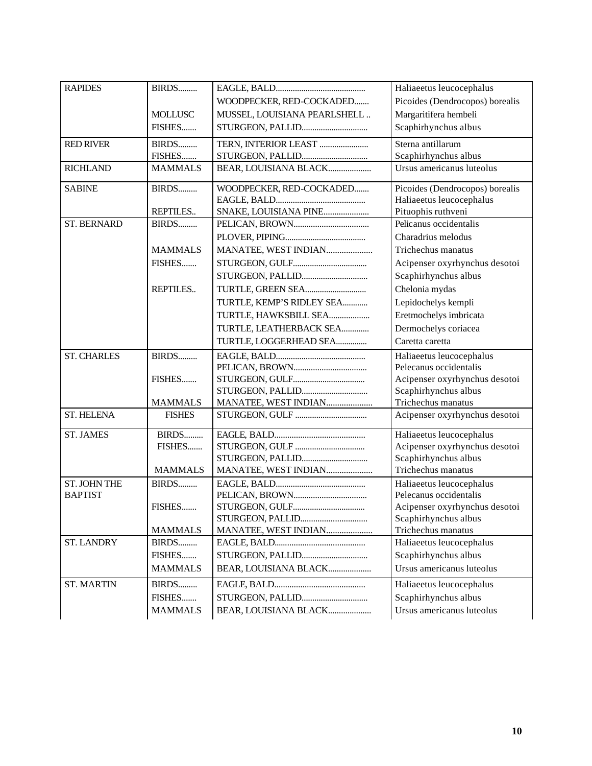| <b>RAPIDES</b>                         | BIRDS          |                              | Haliaeetus leucocephalus        |
|----------------------------------------|----------------|------------------------------|---------------------------------|
|                                        |                | WOODPECKER, RED-COCKADED     | Picoides (Dendrocopos) borealis |
|                                        | <b>MOLLUSC</b> | MUSSEL, LOUISIANA PEARLSHELL | Margaritifera hembeli           |
|                                        | FISHES         | STURGEON, PALLID             | Scaphirhynchus albus            |
| <b>RED RIVER</b>                       | BIRDS          | TERN, INTERIOR LEAST         | Sterna antillarum               |
|                                        | FISHES         |                              | Scaphirhynchus albus            |
| <b>RICHLAND</b>                        | <b>MAMMALS</b> | BEAR, LOUISIANA BLACK        | Ursus americanus luteolus       |
| <b>SABINE</b>                          | BIRDS          | WOODPECKER, RED-COCKADED     | Picoides (Dendrocopos) borealis |
|                                        |                |                              | Haliaeetus leucocephalus        |
|                                        | REPTILES       | SNAKE, LOUISIANA PINE        | Pituophis ruthveni              |
| <b>ST. BERNARD</b>                     | BIRDS          |                              | Pelicanus occidentalis          |
|                                        |                |                              | Charadrius melodus              |
|                                        | <b>MAMMALS</b> | MANATEE, WEST INDIAN         | Trichechus manatus              |
|                                        | FISHES         |                              | Acipenser oxyrhynchus desotoi   |
|                                        |                |                              | Scaphirhynchus albus            |
|                                        | REPTILES       |                              | Chelonia mydas                  |
|                                        |                | TURTLE, KEMP'S RIDLEY SEA    | Lepidochelys kempli             |
|                                        |                | TURTLE, HAWKSBILL SEA        | Eretmochelys imbricata          |
|                                        |                | TURTLE, LEATHERBACK SEA      | Dermochelys coriacea            |
|                                        |                | TURTLE, LOGGERHEAD SEA       | Caretta caretta                 |
| <b>ST. CHARLES</b>                     | BIRDS          |                              | Haliaeetus leucocephalus        |
|                                        |                |                              | Pelecanus occidentalis          |
|                                        | FISHES         |                              | Acipenser oxyrhynchus desotoi   |
|                                        |                | STURGEON, PALLID             | Scaphirhynchus albus            |
|                                        | <b>MAMMALS</b> | MANATEE, WEST INDIAN         | Trichechus manatus              |
| <b>ST. HELENA</b>                      | <b>FISHES</b>  |                              | Acipenser oxyrhynchus desotoi   |
| <b>ST. JAMES</b>                       | BIRDS          |                              | Haliaeetus leucocephalus        |
|                                        | FISHES         |                              | Acipenser oxyrhynchus desotoi   |
|                                        |                | STURGEON, PALLID             | Scaphirhynchus albus            |
|                                        | <b>MAMMALS</b> | MANATEE, WEST INDIAN         | Trichechus manatus              |
| ST. JOHN THE                           | BIRDS          |                              | Haliaeetus leucocephalus        |
| <b>BAPTIST</b>                         |                |                              | Pelecanus occidentalis          |
|                                        | FISHES         |                              | Acipenser oxyrhynchus desotoi   |
|                                        |                |                              |                                 |
|                                        |                |                              | Scaphirhynchus albus            |
|                                        | <b>MAMMALS</b> | MANATEE, WEST INDIAN         | Trichechus manatus              |
|                                        | BIRDS          |                              | Haliaeetus leucocephalus        |
|                                        | FISHES         |                              | Scaphirhynchus albus            |
|                                        | <b>MAMMALS</b> | BEAR, LOUISIANA BLACK        | Ursus americanus luteolus       |
|                                        | BIRDS          |                              | Haliaeetus leucocephalus        |
| <b>ST. LANDRY</b><br><b>ST. MARTIN</b> | FISHES         | STURGEON, PALLID             | Scaphirhynchus albus            |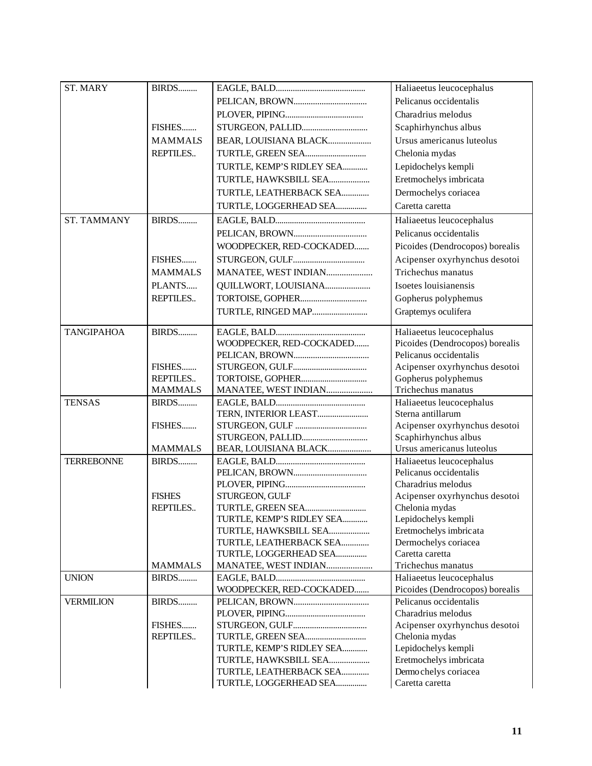| <b>ST. MARY</b>    | BIRDS           |                           | Haliaeetus leucocephalus                                    |
|--------------------|-----------------|---------------------------|-------------------------------------------------------------|
|                    |                 |                           | Pelicanus occidentalis                                      |
|                    |                 |                           | Charadrius melodus                                          |
|                    | FISHES          | STURGEON, PALLID          | Scaphirhynchus albus                                        |
|                    | <b>MAMMALS</b>  | BEAR, LOUISIANA BLACK     | Ursus americanus luteolus                                   |
|                    | <b>REPTILES</b> | TURTLE, GREEN SEA         | Chelonia mydas                                              |
|                    |                 | TURTLE, KEMP'S RIDLEY SEA | Lepidochelys kempli                                         |
|                    |                 | TURTLE, HAWKSBILL SEA     | Eretmochelys imbricata                                      |
|                    |                 | TURTLE, LEATHERBACK SEA   | Dermochelys coriacea                                        |
|                    |                 | TURTLE, LOGGERHEAD SEA    | Caretta caretta                                             |
| <b>ST. TAMMANY</b> | BIRDS           |                           |                                                             |
|                    |                 |                           | Haliaeetus leucocephalus                                    |
|                    |                 |                           | Pelicanus occidentalis                                      |
|                    |                 | WOODPECKER, RED-COCKADED  | Picoides (Dendrocopos) borealis                             |
|                    | FISHES          |                           | Acipenser oxyrhynchus desotoi                               |
|                    | <b>MAMMALS</b>  | MANATEE, WEST INDIAN      | Trichechus manatus                                          |
|                    | PLANTS          | QUILLWORT, LOUISIANA      | Isoetes louisianensis                                       |
|                    | REPTILES        | TORTOISE, GOPHER          | Gopherus polyphemus                                         |
|                    |                 | TURTLE, RINGED MAP        | Graptemys oculifera                                         |
|                    |                 |                           |                                                             |
| <b>TANGIPAHOA</b>  | BIRDS           | WOODPECKER, RED-COCKADED  | Haliaeetus leucocephalus<br>Picoides (Dendrocopos) borealis |
|                    |                 |                           | Pelicanus occidentalis                                      |
|                    | FISHES          |                           | Acipenser oxyrhynchus desotoi                               |
|                    | REPTILES        |                           | Gopherus polyphemus                                         |
|                    | <b>MAMMALS</b>  | MANATEE, WEST INDIAN      | Trichechus manatus                                          |
| <b>TENSAS</b>      | BIRDS           |                           | Haliaeetus leucocephalus                                    |
|                    |                 | TERN, INTERIOR LEAST      | Sterna antillarum                                           |
|                    | FISHES          |                           | Acipenser oxyrhynchus desotoi                               |
|                    |                 | STURGEON, PALLID          | Scaphirhynchus albus                                        |
|                    | <b>MAMMALS</b>  | BEAR, LOUISIANA BLACK     | Ursus americanus luteolus                                   |
| <b>TERREBONNE</b>  | BIRDS           |                           | Haliaeetus leucocephalus                                    |
|                    |                 |                           | Pelicanus occidentalis                                      |
|                    |                 |                           | Charadrius melodus                                          |
|                    | <b>FISHES</b>   | STURGEON, GULF            | Acipenser oxyrhynchus desotoi                               |
|                    | <b>REPTILES</b> | TURTLE, GREEN SEA         | Chelonia mydas                                              |
|                    |                 | TURTLE, KEMP'S RIDLEY SEA | Lepidochelys kempli                                         |
|                    |                 | TURTLE, HAWKSBILL SEA     | Eretmochelys imbricata                                      |
|                    |                 | TURTLE, LEATHERBACK SEA   | Dermochelys coriacea                                        |
|                    |                 | TURTLE, LOGGERHEAD SEA    | Caretta caretta                                             |
|                    | <b>MAMMALS</b>  | MANATEE, WEST INDIAN      | Trichechus manatus                                          |
| <b>UNION</b>       | BIRDS           |                           | Haliaeetus leucocephalus                                    |
|                    |                 | WOODPECKER, RED-COCKADED  | Picoides (Dendrocopos) borealis<br>Pelicanus occidentalis   |
| <b>VERMILION</b>   | BIRDS           |                           | Charadrius melodus                                          |
|                    | FISHES          |                           | Acipenser oxyrhynchus desotoi                               |
|                    | REPTILES        |                           | Chelonia mydas                                              |
|                    |                 | TURTLE, KEMP'S RIDLEY SEA | Lepidochelys kempli                                         |
|                    |                 | TURTLE, HAWKSBILL SEA     | Eretmochelys imbricata                                      |
|                    |                 | TURTLE, LEATHERBACK SEA   | Dermo chelys coriacea                                       |
|                    |                 | TURTLE, LOGGERHEAD SEA    | Caretta caretta                                             |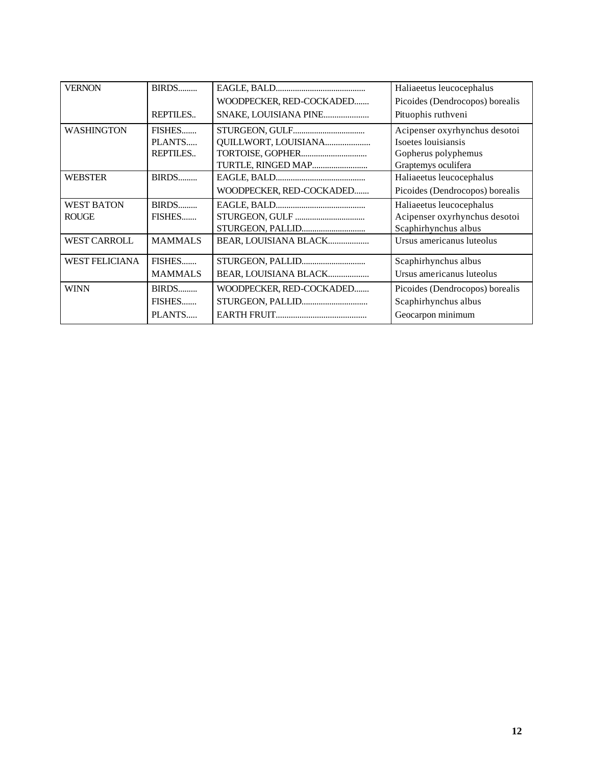| <b>VERNON</b>         | BIRDS           |                          | Haliaeetus leucocephalus        |
|-----------------------|-----------------|--------------------------|---------------------------------|
|                       |                 |                          |                                 |
|                       |                 | WOODPECKER, RED-COCKADED | Picoides (Dendrocopos) borealis |
|                       | REPTILES        | SNAKE, LOUISIANA PINE    | Pituophis ruthveni              |
| <b>WASHINGTON</b>     | FISHES          |                          | Acipenser oxyrhynchus desotoi   |
|                       | PLANTS          | QUILLWORT, LOUISIANA     | Isoetes louisiansis             |
|                       | <b>REPTILES</b> |                          | Gopherus polyphemus             |
|                       |                 | TURTLE, RINGED MAP       | Graptemys oculifera             |
| <b>WEBSTER</b>        | BIRDS           |                          | Haliaeetus leucocephalus        |
|                       |                 | WOODPECKER, RED-COCKADED | Picoides (Dendrocopos) borealis |
| <b>WEST BATON</b>     | BIRDS           |                          | Haliaeetus leucocephalus        |
| <b>ROUGE</b>          | FISHES          |                          | Acipenser oxyrhynchus desotoi   |
|                       |                 | STURGEON, PALLID         | Scaphirhynchus albus            |
| <b>WEST CARROLL</b>   | <b>MAMMALS</b>  | BEAR, LOUISIANA BLACK    | Ursus americanus luteolus       |
| <b>WEST FELICIANA</b> | FISHES          |                          | Scaphirhynchus albus            |
|                       | <b>MAMMALS</b>  | BEAR, LOUISIANA BLACK    | Ursus americanus luteolus       |
| <b>WINN</b>           | BIRDS           | WOODPECKER, RED-COCKADED | Picoides (Dendrocopos) borealis |
|                       | FISHES          | STURGEON, PALLID         | Scaphirhynchus albus            |
|                       | PLANTS          |                          | Geocarpon minimum               |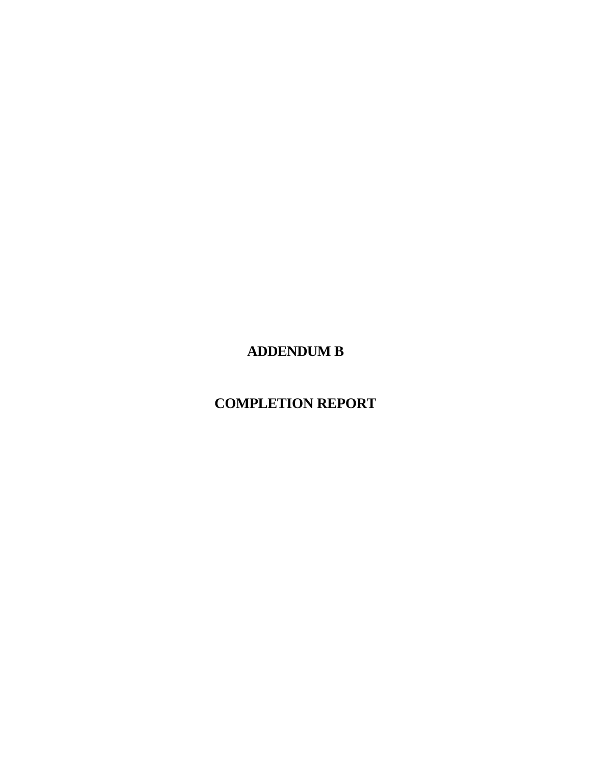**ADDENDUM B**

**COMPLETION REPORT**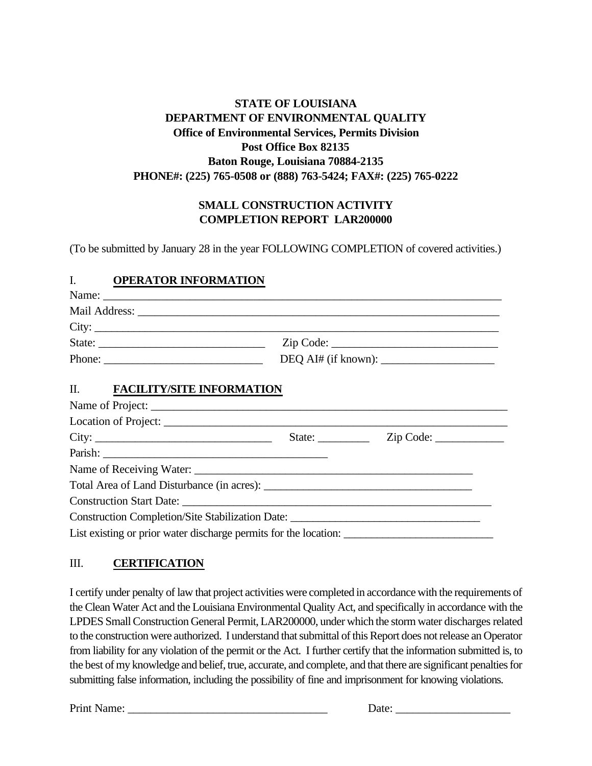# **STATE OF LOUISIANA DEPARTMENT OF ENVIRONMENTAL QUALITY Office of Environmental Services, Permits Division Post Office Box 82135 Baton Rouge, Louisiana 70884-2135 PHONE#: (225) 765-0508 or (888) 763-5424; FAX#: (225) 765-0222**

# **SMALL CONSTRUCTION ACTIVITY COMPLETION REPORT LAR200000**

(To be submitted by January 28 in the year FOLLOWING COMPLETION of covered activities.) 

#### I. **OPERATOR INFORMATION**

|                               | Phone: DEQ AI# (if known): |
|-------------------------------|----------------------------|
| II. FACILITY/SITE INFORMATION |                            |
|                               |                            |

| City:                                                                             | State: <u>Zip Code:</u> |  |
|-----------------------------------------------------------------------------------|-------------------------|--|
|                                                                                   |                         |  |
|                                                                                   |                         |  |
|                                                                                   |                         |  |
|                                                                                   |                         |  |
| Construction Completion/Site Stabilization Date: ________________________________ |                         |  |
|                                                                                   |                         |  |

# III. **CERTIFICATION**

I certify under penalty of law that project activities were completed in accordance with the requirements of the Clean Water Act and the Louisiana Environmental Quality Act, and specifically in accordance with the LPDES Small Construction General Permit, LAR200000, under which the storm water discharges related to the construction were authorized. I understand that submittal of this Report does not release an Operator from liability for any violation of the permit or the Act. I further certify that the information submitted is, to the best of my knowledge and belief, true, accurate, and complete, and that there are significant penalties for submitting false information, including the possibility of fine and imprisonment for knowing violations.

Print Name: <u>Date:</u> **Example 1**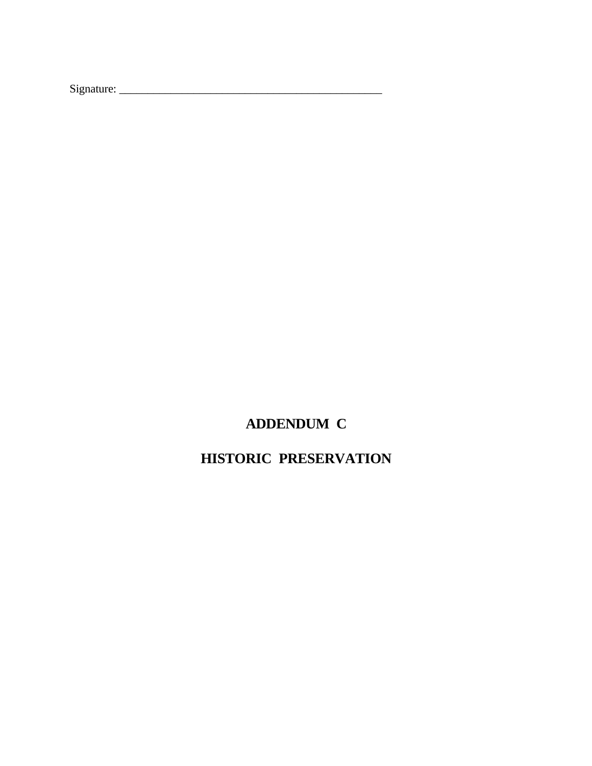Signature: \_\_\_\_\_\_\_\_\_\_\_\_\_\_\_\_\_\_\_\_\_\_\_\_\_\_\_\_\_\_\_\_\_\_\_\_\_\_\_\_\_\_\_\_\_\_

# **ADDENDUM C**

# **HISTORIC PRESERVATION**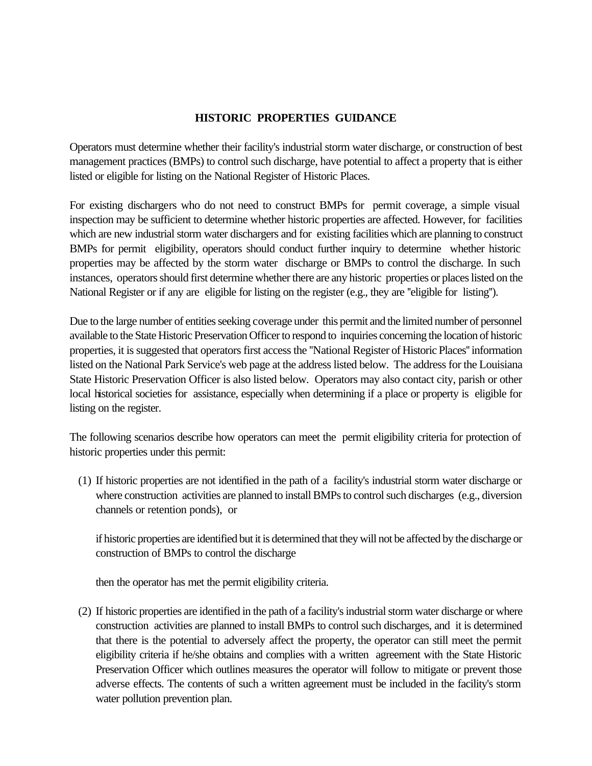#### **HISTORIC PROPERTIES GUIDANCE**

Operators must determine whether their facility's industrial storm water discharge, or construction of best management practices (BMPs) to control such discharge, have potential to affect a property that is either listed or eligible for listing on the National Register of Historic Places.

For existing dischargers who do not need to construct BMPs for permit coverage, a simple visual inspection may be sufficient to determine whether historic properties are affected. However, for facilities which are new industrial storm water dischargers and for existing facilities which are planning to construct BMPs for permit eligibility, operators should conduct further inquiry to determine whether historic properties may be affected by the storm water discharge or BMPs to control the discharge. In such instances, operators should first determine whether there are any historic properties or places listed on the National Register or if any are eligible for listing on the register (e.g., they are ''eligible for listing'').

Due to the large number of entities seeking coverage under this permit and the limited number of personnel available to the State Historic Preservation Officer to respond to inquiries concerning the location of historic properties, it is suggested that operators first access the ''National Register of Historic Places'' information listed on the National Park Service's web page at the address listed below. The address for the Louisiana State Historic Preservation Officer is also listed below. Operators may also contact city, parish or other local historical societies for assistance, especially when determining if a place or property is eligible for listing on the register.

The following scenarios describe how operators can meet the permit eligibility criteria for protection of historic properties under this permit:

(1) If historic properties are not identified in the path of a facility's industrial storm water discharge or where construction activities are planned to install BMPs to control such discharges (e.g., diversion channels or retention ponds), or

if historic properties are identified but it is determined that they will not be affected by the discharge or construction of BMPs to control the discharge

then the operator has met the permit eligibility criteria.

(2) If historic properties are identified in the path of a facility's industrial storm water discharge or where construction activities are planned to install BMPs to control such discharges, and it is determined that there is the potential to adversely affect the property, the operator can still meet the permit eligibility criteria if he/she obtains and complies with a written agreement with the State Historic Preservation Officer which outlines measures the operator will follow to mitigate or prevent those adverse effects. The contents of such a written agreement must be included in the facility's storm water pollution prevention plan.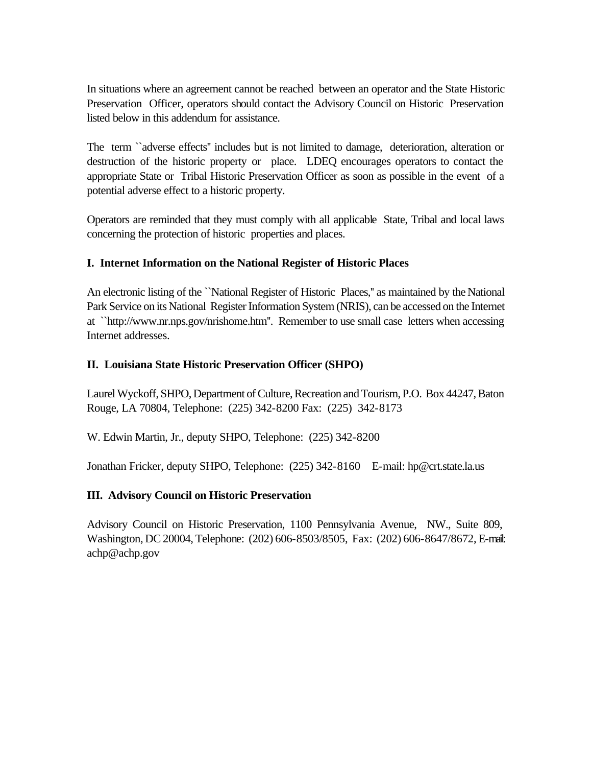In situations where an agreement cannot be reached between an operator and the State Historic Preservation Officer, operators should contact the Advisory Council on Historic Preservation listed below in this addendum for assistance.

The term ``adverse effects'' includes but is not limited to damage, deterioration, alteration or destruction of the historic property or place. LDEQ encourages operators to contact the appropriate State or Tribal Historic Preservation Officer as soon as possible in the event of a potential adverse effect to a historic property.

Operators are reminded that they must comply with all applicable State, Tribal and local laws concerning the protection of historic properties and places.

# **I. Internet Information on the National Register of Historic Places**

An electronic listing of the ``National Register of Historic Places,'' as maintained by the National Park Service on its National Register Information System (NRIS), can be accessed on the Internet at ``http://www.nr.nps.gov/nrishome.htm''. Remember to use small case letters when accessing Internet addresses.

# **II. Louisiana State Historic Preservation Officer (SHPO)**

Laurel Wyckoff, SHPO, Department of Culture, Recreation and Tourism, P.O. Box 44247, Baton Rouge, LA 70804, Telephone: (225) 342-8200 Fax: (225) 342-8173

W. Edwin Martin, Jr., deputy SHPO, Telephone: (225) 342-8200

Jonathan Fricker, deputy SHPO, Telephone: (225) 342-8160 E-mail: hp@crt.state.la.us

# **III. Advisory Council on Historic Preservation**

Advisory Council on Historic Preservation, 1100 Pennsylvania Avenue, NW., Suite 809, Washington, DC 20004, Telephone: (202) 606-8503/8505, Fax: (202) 606-8647/8672, E-mail: achp@achp.gov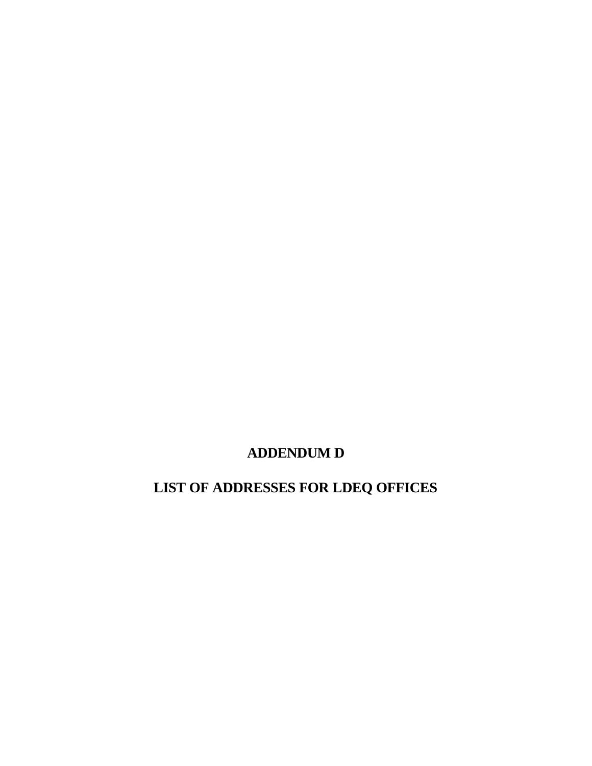**ADDENDUM D**

**LIST OF ADDRESSES FOR LDEQ OFFICES**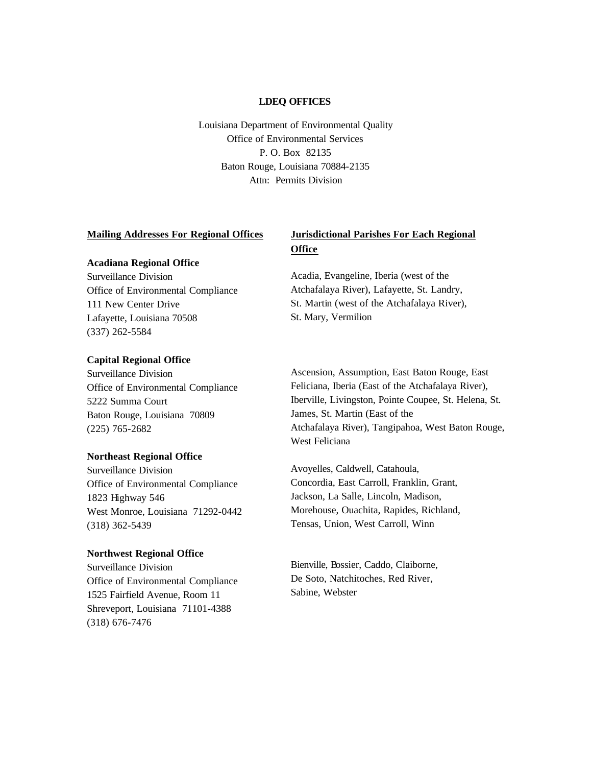#### **LDEQ OFFICES**

Louisiana Department of Environmental Quality Office of Environmental Services P. O. Box 82135 Baton Rouge, Louisiana 70884-2135 Attn: Permits Division

#### **Mailing Addresses For Regional Offices**

#### **Acadiana Regional Office**

Surveillance Division Office of Environmental Compliance 111 New Center Drive Lafayette, Louisiana 70508 (337) 262-5584

#### **Capital Regional Office**

Surveillance Division Office of Environmental Compliance 5222 Summa Court Baton Rouge, Louisiana 70809 (225) 765-2682

#### **Northeast Regional Office**

Surveillance Division Office of Environmental Compliance 1823 Highway 546 West Monroe, Louisiana 71292-0442 (318) 362-5439

#### **Northwest Regional Office**

Surveillance Division Office of Environmental Compliance 1525 Fairfield Avenue, Room 11 Shreveport, Louisiana 71101-4388 (318) 676-7476

#### **Jurisdictional Parishes For Each Regional Office**

Acadia, Evangeline, Iberia (west of the Atchafalaya River), Lafayette, St. Landry, St. Martin (west of the Atchafalaya River), St. Mary, Vermilion

Ascension, Assumption, East Baton Rouge, East Feliciana, Iberia (East of the Atchafalaya River), Iberville, Livingston, Pointe Coupee, St. Helena, St. James, St. Martin (East of the Atchafalaya River), Tangipahoa, West Baton Rouge, West Feliciana

Avoyelles, Caldwell, Catahoula, Concordia, East Carroll, Franklin, Grant, Jackson, La Salle, Lincoln, Madison, Morehouse, Ouachita, Rapides, Richland, Tensas, Union, West Carroll, Winn

Bienville, Bossier, Caddo, Claiborne, De Soto, Natchitoches, Red River, Sabine, Webster